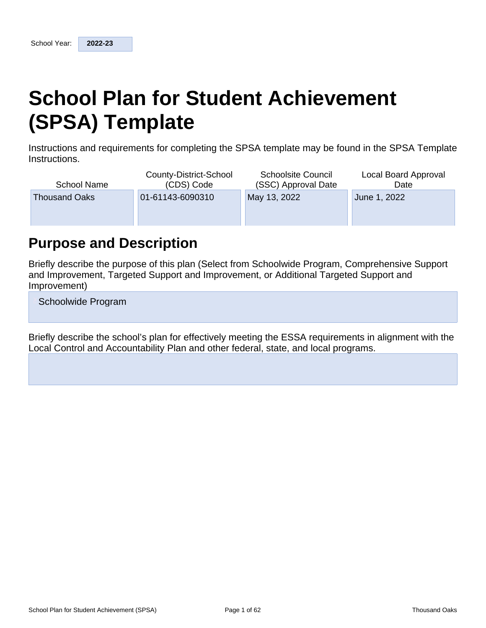# **School Plan for Student Achievement (SPSA) Template**

Instructions and requirements for completing the SPSA template may be found in the SPSA Template Instructions.

| County-District-School<br>(CDS) Code     | <b>Schoolsite Council</b><br>(SSC) Approval Date | Local Board Approval<br>Date |  |  |
|------------------------------------------|--------------------------------------------------|------------------------------|--|--|
| 01-61143-6090310<br><b>Thousand Oaks</b> |                                                  | June 1, 2022                 |  |  |
|                                          |                                                  |                              |  |  |
|                                          |                                                  | May 13, 2022                 |  |  |

## **Purpose and Description**

Briefly describe the purpose of this plan (Select from Schoolwide Program, Comprehensive Support and Improvement, Targeted Support and Improvement, or Additional Targeted Support and Improvement)

Schoolwide Program

Briefly describe the school's plan for effectively meeting the ESSA requirements in alignment with the Local Control and Accountability Plan and other federal, state, and local programs.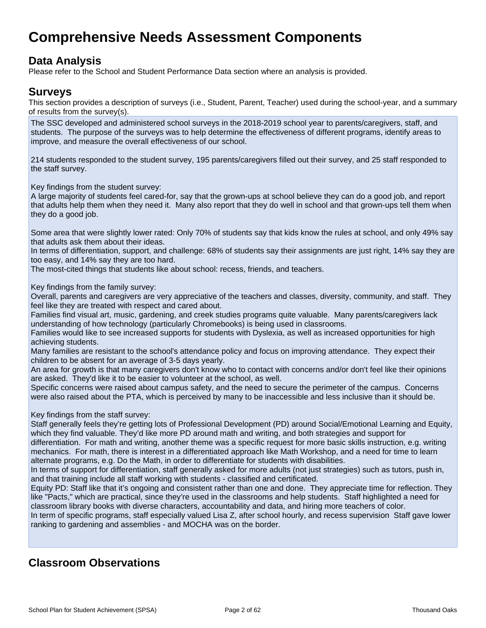## **Comprehensive Needs Assessment Components**

## **Data Analysis**

Please refer to the School and Student Performance Data section where an analysis is provided.

### **Surveys**

This section provides a description of surveys (i.e., Student, Parent, Teacher) used during the school-year, and a summary of results from the survey(s).

The SSC developed and administered school surveys in the 2018-2019 school year to parents/caregivers, staff, and students. The purpose of the surveys was to help determine the effectiveness of different programs, identify areas to improve, and measure the overall effectiveness of our school.

214 students responded to the student survey, 195 parents/caregivers filled out their survey, and 25 staff responded to the staff survey.

Key findings from the student survey:

A large majority of students feel cared-for, say that the grown-ups at school believe they can do a good job, and report that adults help them when they need it. Many also report that they do well in school and that grown-ups tell them when they do a good job.

Some area that were slightly lower rated: Only 70% of students say that kids know the rules at school, and only 49% say that adults ask them about their ideas.

In terms of differentiation, support, and challenge: 68% of students say their assignments are just right, 14% say they are too easy, and 14% say they are too hard.

The most-cited things that students like about school: recess, friends, and teachers.

Key findings from the family survey:

Overall, parents and caregivers are very appreciative of the teachers and classes, diversity, community, and staff. They feel like they are treated with respect and cared about.

Families find visual art, music, gardening, and creek studies programs quite valuable. Many parents/caregivers lack understanding of how technology (particularly Chromebooks) is being used in classrooms.

Families would like to see increased supports for students with Dyslexia, as well as increased opportunities for high achieving students.

Many families are resistant to the school's attendance policy and focus on improving attendance. They expect their children to be absent for an average of 3-5 days yearly.

An area for growth is that many caregivers don't know who to contact with concerns and/or don't feel like their opinions are asked. They'd like it to be easier to volunteer at the school, as well.

Specific concerns were raised about campus safety, and the need to secure the perimeter of the campus. Concerns were also raised about the PTA, which is perceived by many to be inaccessible and less inclusive than it should be.

Key findings from the staff survey:

Staff generally feels they're getting lots of Professional Development (PD) around Social/Emotional Learning and Equity, which they find valuable. They'd like more PD around math and writing, and both strategies and support for differentiation. For math and writing, another theme was a specific request for more basic skills instruction, e.g. writing mechanics. For math, there is interest in a differentiated approach like Math Workshop, and a need for time to learn alternate programs, e.g. Do the Math, in order to differentiate for students with disabilities.

In terms of support for differentiation, staff generally asked for more adults (not just strategies) such as tutors, push in, and that training include all staff working with students - classified and certificated.

Equity PD: Staff like that it's ongoing and consistent rather than one and done. They appreciate time for reflection. They like "Pacts," which are practical, since they're used in the classrooms and help students. Staff highlighted a need for classroom library books with diverse characters, accountability and data, and hiring more teachers of color.

In term of specific programs, staff especially valued Lisa Z, after school hourly, and recess supervision Staff gave lower ranking to gardening and assemblies - and MOCHA was on the border.

## **Classroom Observations**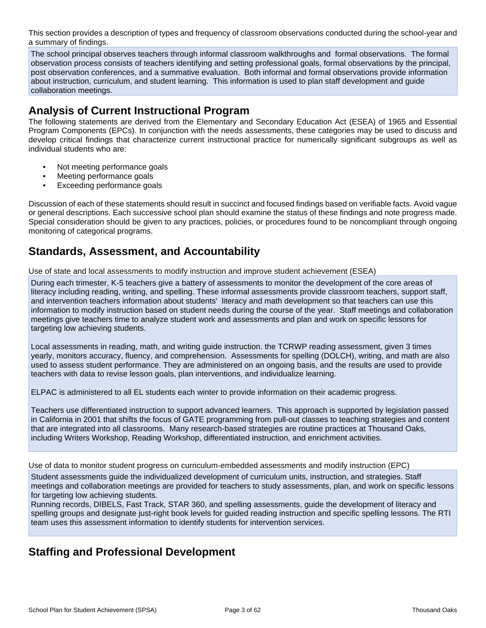This section provides a description of types and frequency of classroom observations conducted during the school-year and a summary of findings.

The school principal observes teachers through informal classroom walkthroughs and formal observations. The formal observation process consists of teachers identifying and setting professional goals, formal observations by the principal, post observation conferences, and a summative evaluation. Both informal and formal observations provide information about instruction, curriculum, and student learning. This information is used to plan staff development and guide collaboration meetings.

## **Analysis of Current Instructional Program**

The following statements are derived from the Elementary and Secondary Education Act (ESEA) of 1965 and Essential Program Components (EPCs). In conjunction with the needs assessments, these categories may be used to discuss and develop critical findings that characterize current instructional practice for numerically significant subgroups as well as individual students who are:

- Not meeting performance goals
- Meeting performance goals
- Exceeding performance goals

Discussion of each of these statements should result in succinct and focused findings based on verifiable facts. Avoid vague or general descriptions. Each successive school plan should examine the status of these findings and note progress made. Special consideration should be given to any practices, policies, or procedures found to be noncompliant through ongoing monitoring of categorical programs.

## **Standards, Assessment, and Accountability**

Use of state and local assessments to modify instruction and improve student achievement (ESEA)

During each trimester, K-5 teachers give a battery of assessments to monitor the development of the core areas of literacy including reading, writing, and spelling. These informal assessments provide classroom teachers, support staff, and intervention teachers information about students' literacy and math development so that teachers can use this information to modify instruction based on student needs during the course of the year. Staff meetings and collaboration meetings give teachers time to analyze student work and assessments and plan and work on specific lessons for targeting low achieving students.

Local assessments in reading, math, and writing guide instruction. the TCRWP reading assessment, given 3 times yearly, monitors accuracy, fluency, and comprehension. Assessments for spelling (DOLCH), writing, and math are also used to assess student performance. They are administered on an ongoing basis, and the results are used to provide teachers with data to revise lesson goals, plan interventions, and individualize learning.

ELPAC is administered to all EL students each winter to provide information on their academic progress.

Teachers use differentiated instruction to support advanced learners. This approach is supported by legislation passed in California in 2001 that shifts the focus of GATE programming from pull-out classes to teaching strategies and content that are integrated into all classrooms. Many research-based strategies are routine practices at Thousand Oaks, including Writers Workshop, Reading Workshop, differentiated instruction, and enrichment activities.

Use of data to monitor student progress on curriculum-embedded assessments and modify instruction (EPC)

Student assessments guide the individualized development of curriculum units, instruction, and strategies. Staff meetings and collaboration meetings are provided for teachers to study assessments, plan, and work on specific lessons for targeting low achieving students.

Running records, DIBELS, Fast Track, STAR 360, and spelling assessments, guide the development of literacy and spelling groups and designate just-right book levels for guided reading instruction and specific spelling lessons. The RTI team uses this assessment information to identify students for intervention services.

## **Staffing and Professional Development**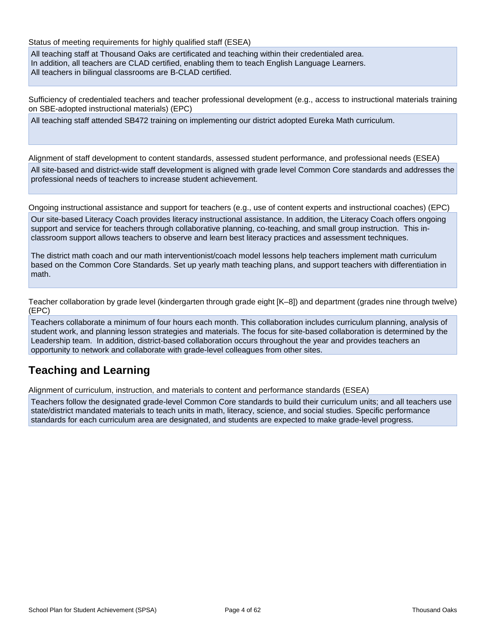Status of meeting requirements for highly qualified staff (ESEA)

All teaching staff at Thousand Oaks are certificated and teaching within their credentialed area. In addition, all teachers are CLAD certified, enabling them to teach English Language Learners. All teachers in bilingual classrooms are B-CLAD certified.

Sufficiency of credentialed teachers and teacher professional development (e.g., access to instructional materials training on SBE-adopted instructional materials) (EPC)

All teaching staff attended SB472 training on implementing our district adopted Eureka Math curriculum.

Alignment of staff development to content standards, assessed student performance, and professional needs (ESEA) All site-based and district-wide staff development is aligned with grade level Common Core standards and addresses the professional needs of teachers to increase student achievement.

Ongoing instructional assistance and support for teachers (e.g., use of content experts and instructional coaches) (EPC)

Our site-based Literacy Coach provides literacy instructional assistance. In addition, the Literacy Coach offers ongoing support and service for teachers through collaborative planning, co-teaching, and small group instruction. This inclassroom support allows teachers to observe and learn best literacy practices and assessment techniques.

The district math coach and our math interventionist/coach model lessons help teachers implement math curriculum based on the Common Core Standards. Set up yearly math teaching plans, and support teachers with differentiation in math.

Teacher collaboration by grade level (kindergarten through grade eight [K–8]) and department (grades nine through twelve) (EPC)

Teachers collaborate a minimum of four hours each month. This collaboration includes curriculum planning, analysis of student work, and planning lesson strategies and materials. The focus for site-based collaboration is determined by the Leadership team. In addition, district-based collaboration occurs throughout the year and provides teachers an opportunity to network and collaborate with grade-level colleagues from other sites.

## **Teaching and Learning**

Alignment of curriculum, instruction, and materials to content and performance standards (ESEA)

Teachers follow the designated grade-level Common Core standards to build their curriculum units; and all teachers use state/district mandated materials to teach units in math, literacy, science, and social studies. Specific performance standards for each curriculum area are designated, and students are expected to make grade-level progress.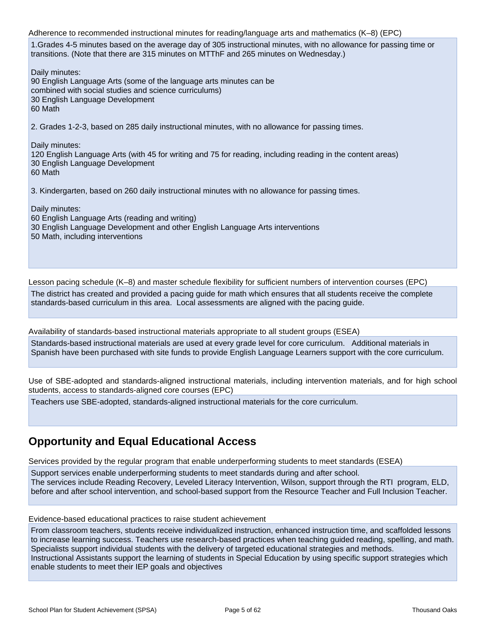Adherence to recommended instructional minutes for reading/language arts and mathematics (K–8) (EPC) 1.Grades 4-5 minutes based on the average day of 305 instructional minutes, with no allowance for passing time or transitions. (Note that there are 315 minutes on MTThF and 265 minutes on Wednesday.) Daily minutes: 90 English Language Arts (some of the language arts minutes can be combined with social studies and science curriculums) 30 English Language Development 60 Math 2. Grades 1-2-3, based on 285 daily instructional minutes, with no allowance for passing times. Daily minutes: 120 English Language Arts (with 45 for writing and 75 for reading, including reading in the content areas) 30 English Language Development 60 Math 3. Kindergarten, based on 260 daily instructional minutes with no allowance for passing times. Daily minutes: 60 English Language Arts (reading and writing) 30 English Language Development and other English Language Arts interventions 50 Math, including interventions

Lesson pacing schedule (K–8) and master schedule flexibility for sufficient numbers of intervention courses (EPC)

The district has created and provided a pacing guide for math which ensures that all students receive the complete standards-based curriculum in this area. Local assessments are aligned with the pacing guide.

Availability of standards-based instructional materials appropriate to all student groups (ESEA)

Standards-based instructional materials are used at every grade level for core curriculum. Additional materials in Spanish have been purchased with site funds to provide English Language Learners support with the core curriculum.

Use of SBE-adopted and standards-aligned instructional materials, including intervention materials, and for high school students, access to standards-aligned core courses (EPC)

Teachers use SBE-adopted, standards-aligned instructional materials for the core curriculum.

## **Opportunity and Equal Educational Access**

Services provided by the regular program that enable underperforming students to meet standards (ESEA)

Support services enable underperforming students to meet standards during and after school. The services include Reading Recovery, Leveled Literacy Intervention, Wilson, support through the RTI program, ELD, before and after school intervention, and school-based support from the Resource Teacher and Full Inclusion Teacher.

Evidence-based educational practices to raise student achievement

From classroom teachers, students receive individualized instruction, enhanced instruction time, and scaffolded lessons to increase learning success. Teachers use research-based practices when teaching guided reading, spelling, and math. Specialists support individual students with the delivery of targeted educational strategies and methods. Instructional Assistants support the learning of students in Special Education by using specific support strategies which enable students to meet their IEP goals and objectives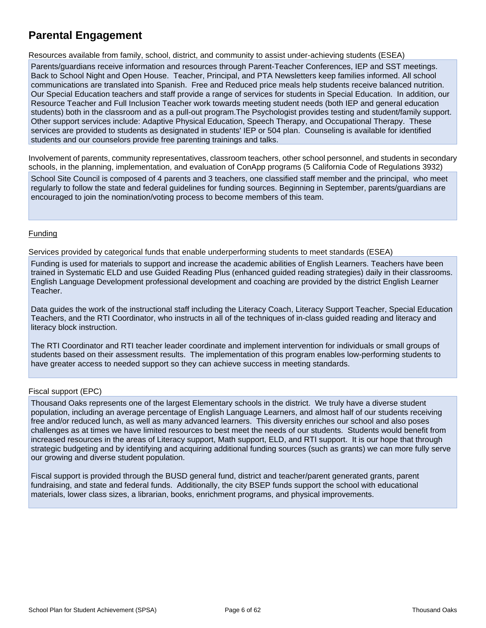## **Parental Engagement**

Resources available from family, school, district, and community to assist under-achieving students (ESEA)

Parents/guardians receive information and resources through Parent-Teacher Conferences, IEP and SST meetings. Back to School Night and Open House. Teacher, Principal, and PTA Newsletters keep families informed. All school communications are translated into Spanish. Free and Reduced price meals help students receive balanced nutrition. Our Special Education teachers and staff provide a range of services for students in Special Education. In addition, our Resource Teacher and Full Inclusion Teacher work towards meeting student needs (both IEP and general education students) both in the classroom and as a pull-out program.The Psychologist provides testing and student/family support. Other support services include: Adaptive Physical Education, Speech Therapy, and Occupational Therapy. These services are provided to students as designated in students' IEP or 504 plan. Counseling is available for identified students and our counselors provide free parenting trainings and talks.

Involvement of parents, community representatives, classroom teachers, other school personnel, and students in secondary schools, in the planning, implementation, and evaluation of ConApp programs (5 California Code of Regulations 3932)

School Site Council is composed of 4 parents and 3 teachers, one classified staff member and the principal, who meet regularly to follow the state and federal guidelines for funding sources. Beginning in September, parents/guardians are encouraged to join the nomination/voting process to become members of this team.

#### Funding

Services provided by categorical funds that enable underperforming students to meet standards (ESEA)

Funding is used for materials to support and increase the academic abilities of English Learners. Teachers have been trained in Systematic ELD and use Guided Reading Plus (enhanced guided reading strategies) daily in their classrooms. English Language Development professional development and coaching are provided by the district English Learner Teacher.

Data guides the work of the instructional staff including the Literacy Coach, Literacy Support Teacher, Special Education Teachers, and the RTI Coordinator, who instructs in all of the techniques of in-class guided reading and literacy and literacy block instruction.

The RTI Coordinator and RTI teacher leader coordinate and implement intervention for individuals or small groups of students based on their assessment results. The implementation of this program enables low-performing students to have greater access to needed support so they can achieve success in meeting standards.

#### Fiscal support (EPC)

Thousand Oaks represents one of the largest Elementary schools in the district. We truly have a diverse student population, including an average percentage of English Language Learners, and almost half of our students receiving free and/or reduced lunch, as well as many advanced learners. This diversity enriches our school and also poses challenges as at times we have limited resources to best meet the needs of our students. Students would benefit from increased resources in the areas of Literacy support, Math support, ELD, and RTI support. It is our hope that through strategic budgeting and by identifying and acquiring additional funding sources (such as grants) we can more fully serve our growing and diverse student population.

Fiscal support is provided through the BUSD general fund, district and teacher/parent generated grants, parent fundraising, and state and federal funds. Additionally, the city BSEP funds support the school with educational materials, lower class sizes, a librarian, books, enrichment programs, and physical improvements.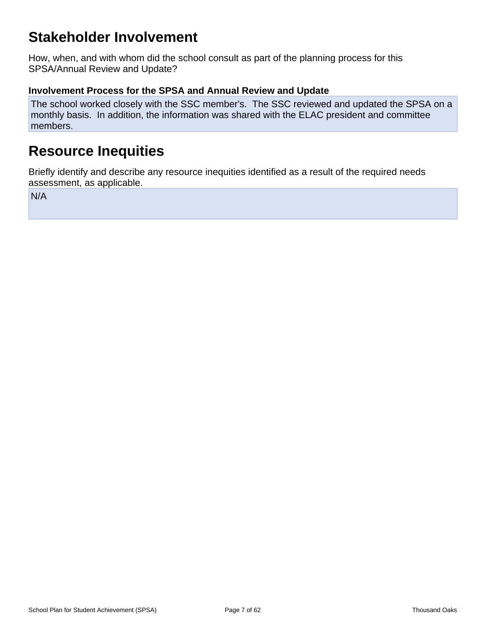## **Stakeholder Involvement**

How, when, and with whom did the school consult as part of the planning process for this SPSA/Annual Review and Update?

### **Involvement Process for the SPSA and Annual Review and Update**

The school worked closely with the SSC member's. The SSC reviewed and updated the SPSA on a monthly basis. In addition, the information was shared with the ELAC president and committee members.

## **Resource Inequities**

Briefly identify and describe any resource inequities identified as a result of the required needs assessment, as applicable.

N/A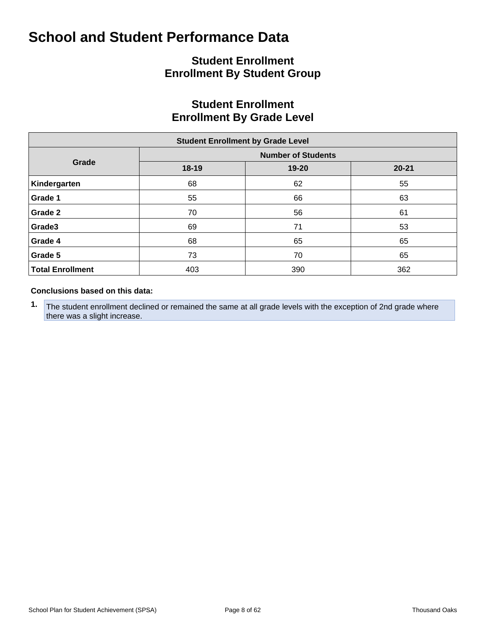## **Student Enrollment Enrollment By Student Group**

## **Student Enrollment Enrollment By Grade Level**

| <b>Student Enrollment by Grade Level</b> |                           |       |           |  |  |  |  |  |  |  |  |
|------------------------------------------|---------------------------|-------|-----------|--|--|--|--|--|--|--|--|
|                                          | <b>Number of Students</b> |       |           |  |  |  |  |  |  |  |  |
| Grade                                    | $18 - 19$                 | 19-20 | $20 - 21$ |  |  |  |  |  |  |  |  |
| Kindergarten                             | 68                        | 62    | 55        |  |  |  |  |  |  |  |  |
| Grade 1                                  | 55                        | 66    | 63        |  |  |  |  |  |  |  |  |
| Grade 2                                  | 70                        | 56    | 61        |  |  |  |  |  |  |  |  |
| Grade3                                   | 69                        | 71    | 53        |  |  |  |  |  |  |  |  |
| Grade 4                                  | 68                        | 65    | 65        |  |  |  |  |  |  |  |  |
| Grade 5                                  | 73                        | 70    | 65        |  |  |  |  |  |  |  |  |
| <b>Total Enrollment</b>                  | 403                       | 390   | 362       |  |  |  |  |  |  |  |  |

#### **Conclusions based on this data:**

**1.** The student enrollment declined or remained the same at all grade levels with the exception of 2nd grade where there was a slight increase.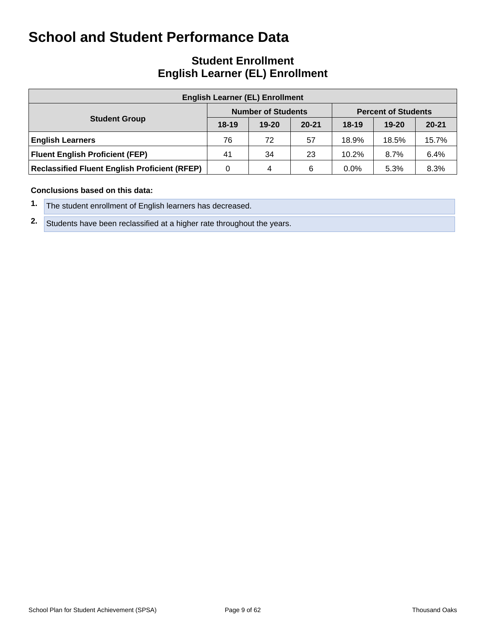## **Student Enrollment English Learner (EL) Enrollment**

| <b>English Learner (EL) Enrollment</b>               |         |                           |           |                            |           |           |  |  |  |  |  |  |
|------------------------------------------------------|---------|---------------------------|-----------|----------------------------|-----------|-----------|--|--|--|--|--|--|
|                                                      |         | <b>Number of Students</b> |           | <b>Percent of Students</b> |           |           |  |  |  |  |  |  |
| <b>Student Group</b>                                 | $18-19$ | $19 - 20$                 | $20 - 21$ | $18-19$                    | $19 - 20$ | $20 - 21$ |  |  |  |  |  |  |
| <b>English Learners</b>                              | 76      | 72                        | 57        | 18.9%                      | 18.5%     | 15.7%     |  |  |  |  |  |  |
| <b>Fluent English Proficient (FEP)</b>               | 41      | 34                        | 23        | 10.2%                      | 8.7%      | 6.4%      |  |  |  |  |  |  |
| <b>Reclassified Fluent English Proficient (RFEP)</b> | 0       | 4                         | 6         | $0.0\%$                    | 5.3%      | 8.3%      |  |  |  |  |  |  |

#### **Conclusions based on this data:**

|  | 1. The student enrollment of English learners has decreased. |
|--|--------------------------------------------------------------|
|--|--------------------------------------------------------------|

**2.** Students have been reclassified at a higher rate throughout the years.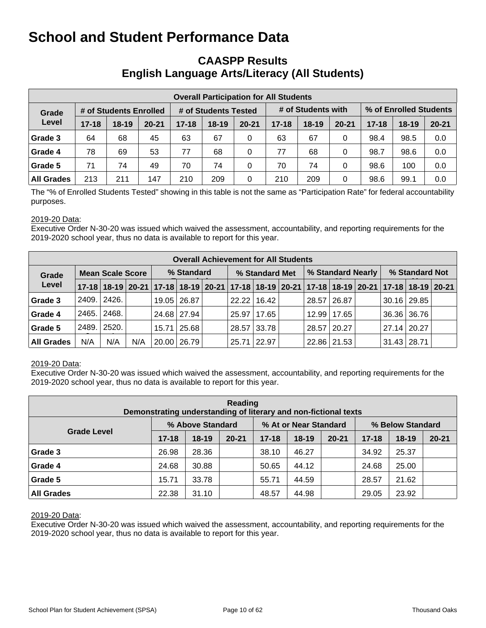## **CAASPP Results English Language Arts/Literacy (All Students)**

|                   | <b>Overall Participation for All Students</b> |                        |           |                      |         |           |           |                    |           |                        |           |           |  |  |
|-------------------|-----------------------------------------------|------------------------|-----------|----------------------|---------|-----------|-----------|--------------------|-----------|------------------------|-----------|-----------|--|--|
| Grade             |                                               | # of Students Enrolled |           | # of Students Tested |         |           |           | # of Students with |           | % of Enrolled Students |           |           |  |  |
| Level             | $17 - 18$                                     | 18-19                  | $20 - 21$ | $17 - 18$            | $18-19$ | $20 - 21$ | $17 - 18$ | $18 - 19$          | $20 - 21$ | $17 - 18$              | $18 - 19$ | $20 - 21$ |  |  |
| Grade 3           | 64                                            | 68                     | 45        | 63                   | 67      | 0         | 63        | 67                 | 0         | 98.4                   | 98.5      | 0.0       |  |  |
| Grade 4           | 78                                            | 69                     | 53        | 77                   | 68      | 0         | 77        | 68                 | 0         | 98.7                   | 98.6      | 0.0       |  |  |
| Grade 5           | 71                                            | 74                     | 49        | 70                   | 74      | 0         | 70        | 74                 | 0         | 98.6                   | 100       | 0.0       |  |  |
| <b>All Grades</b> | 213                                           | 211                    | 147       | 210                  | 209     | 0         | 210       | 209                | 0         | 98.6                   | 99.1      | 0.0       |  |  |

The "% of Enrolled Students Tested" showing in this table is not the same as "Participation Rate" for federal accountability purposes.

#### 2019-20 Data:

Executive Order N-30-20 was issued which waived the assessment, accountability, and reporting requirements for the 2019-2020 school year, thus no data is available to report for this year.

|                   | <b>Overall Achievement for All Students</b> |                                                                                           |     |            |               |  |                |                 |  |                   |               |  |                    |             |  |
|-------------------|---------------------------------------------|-------------------------------------------------------------------------------------------|-----|------------|---------------|--|----------------|-----------------|--|-------------------|---------------|--|--------------------|-------------|--|
| Grade             | <b>Mean Scale Score</b>                     |                                                                                           |     | % Standard |               |  | % Standard Met |                 |  | % Standard Nearly |               |  | % Standard Not     |             |  |
| Level             |                                             | 17-18 18-19 20-21 17-18 18-19 20-21 17-18 18-19 20-21 17-18 18-19 20-21 17-18 18-19 20-21 |     |            |               |  |                |                 |  |                   |               |  |                    |             |  |
| Grade 3           | 2409.                                       | 2426.                                                                                     |     |            | 19.05 26.87   |  |                | $22.22$   16.42 |  |                   | 28.57 26.87   |  |                    | 30.16 29.85 |  |
| Grade 4           | 2465.                                       | 2468.                                                                                     |     |            | 24.68 27.94   |  | 25.97          | 17.65           |  |                   | 12.99   17.65 |  |                    | 36.36 36.76 |  |
| Grade 5           | 2489.                                       | 2520.                                                                                     |     |            | $15.71$ 25.68 |  |                | 28.57 33.78     |  | 28.57 20.27       |               |  | 27.14 20.27        |             |  |
| <b>All Grades</b> | N/A                                         | N/A                                                                                       | N/A |            | 20.00   26.79 |  | 25.71          | 22.97           |  |                   | 22.86 21.53   |  | $31.43 \mid 28.71$ |             |  |

#### 2019-20 Data:

Executive Order N-30-20 was issued which waived the assessment, accountability, and reporting requirements for the 2019-2020 school year, thus no data is available to report for this year.

| Reading<br>Demonstrating understanding of literary and non-fictional texts |           |                  |           |           |                       |           |                  |           |           |  |  |  |  |
|----------------------------------------------------------------------------|-----------|------------------|-----------|-----------|-----------------------|-----------|------------------|-----------|-----------|--|--|--|--|
|                                                                            |           | % Above Standard |           |           | % At or Near Standard |           | % Below Standard |           |           |  |  |  |  |
| <b>Grade Level</b>                                                         | $17 - 18$ | $18 - 19$        | $20 - 21$ | $17 - 18$ | $18 - 19$             | $20 - 21$ | $17 - 18$        | $18 - 19$ | $20 - 21$ |  |  |  |  |
| Grade 3                                                                    | 26.98     | 28.36            |           | 38.10     | 46.27                 |           | 34.92            | 25.37     |           |  |  |  |  |
| Grade 4                                                                    | 24.68     | 30.88            |           | 50.65     | 44.12                 |           | 24.68            | 25.00     |           |  |  |  |  |
| Grade 5                                                                    | 15.71     | 33.78            |           | 55.71     | 44.59                 |           | 28.57            | 21.62     |           |  |  |  |  |
| <b>All Grades</b>                                                          | 22.38     | 31.10            |           | 48.57     | 44.98                 |           | 29.05            | 23.92     |           |  |  |  |  |

#### 2019-20 Data: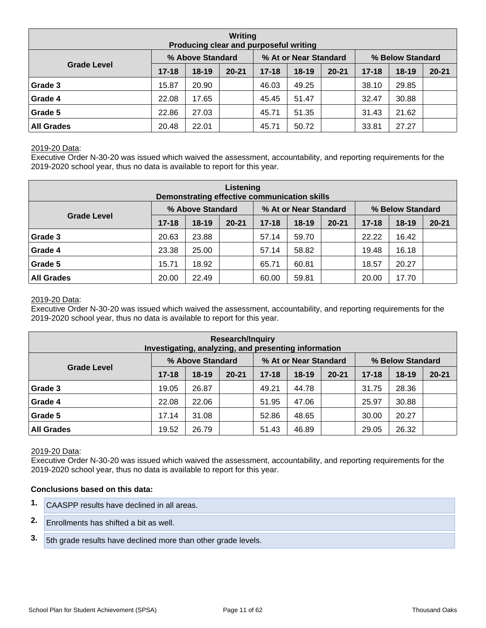| Writing<br>Producing clear and purposeful writing |           |                  |           |           |                       |           |                  |           |           |  |  |  |  |
|---------------------------------------------------|-----------|------------------|-----------|-----------|-----------------------|-----------|------------------|-----------|-----------|--|--|--|--|
|                                                   |           | % Above Standard |           |           | % At or Near Standard |           | % Below Standard |           |           |  |  |  |  |
| <b>Grade Level</b>                                | $17 - 18$ | $18-19$          | $20 - 21$ | $17 - 18$ | $18 - 19$             | $20 - 21$ | $17 - 18$        | $18 - 19$ | $20 - 21$ |  |  |  |  |
| Grade 3                                           | 15.87     | 20.90            |           | 46.03     | 49.25                 |           | 38.10            | 29.85     |           |  |  |  |  |
| Grade 4                                           | 22.08     | 17.65            |           | 45.45     | 51.47                 |           | 32.47            | 30.88     |           |  |  |  |  |
| Grade 5                                           | 22.86     | 27.03            |           | 45.71     | 51.35                 |           | 31.43            | 21.62     |           |  |  |  |  |
| <b>All Grades</b>                                 | 20.48     | 22.01            |           | 45.71     | 50.72                 |           | 33.81            | 27.27     |           |  |  |  |  |

Executive Order N-30-20 was issued which waived the assessment, accountability, and reporting requirements for the 2019-2020 school year, thus no data is available to report for this year.

| Listening<br>Demonstrating effective communication skills |           |                  |           |           |                       |           |                  |           |           |  |  |  |  |
|-----------------------------------------------------------|-----------|------------------|-----------|-----------|-----------------------|-----------|------------------|-----------|-----------|--|--|--|--|
|                                                           |           | % Above Standard |           |           | % At or Near Standard |           | % Below Standard |           |           |  |  |  |  |
| <b>Grade Level</b>                                        | $17 - 18$ | $18-19$          | $20 - 21$ | $17 - 18$ | $18-19$               | $20 - 21$ | $17 - 18$        | $18 - 19$ | $20 - 21$ |  |  |  |  |
| Grade 3                                                   | 20.63     | 23.88            |           | 57.14     | 59.70                 |           | 22.22            | 16.42     |           |  |  |  |  |
| Grade 4                                                   | 23.38     | 25.00            |           | 57.14     | 58.82                 |           | 19.48            | 16.18     |           |  |  |  |  |
| Grade 5                                                   | 15.71     | 18.92            |           | 65.71     | 60.81                 |           | 18.57            | 20.27     |           |  |  |  |  |
| <b>All Grades</b>                                         | 20.00     | 22.49            |           | 60.00     | 59.81                 |           | 20.00            | 17.70     |           |  |  |  |  |

#### 2019-20 Data:

Executive Order N-30-20 was issued which waived the assessment, accountability, and reporting requirements for the 2019-2020 school year, thus no data is available to report for this year.

| <b>Research/Inquiry</b><br>Investigating, analyzing, and presenting information |                                   |                  |  |           |                       |           |                  |           |           |  |  |  |  |
|---------------------------------------------------------------------------------|-----------------------------------|------------------|--|-----------|-----------------------|-----------|------------------|-----------|-----------|--|--|--|--|
|                                                                                 |                                   | % Above Standard |  |           | % At or Near Standard |           | % Below Standard |           |           |  |  |  |  |
| <b>Grade Level</b>                                                              | $17 - 18$<br>$20 - 21$<br>$18-19$ |                  |  | $17 - 18$ | $18-19$               | $20 - 21$ | $17 - 18$        | $18 - 19$ | $20 - 21$ |  |  |  |  |
| Grade 3                                                                         | 19.05                             | 26.87            |  | 49.21     | 44.78                 |           | 31.75            | 28.36     |           |  |  |  |  |
| Grade 4                                                                         | 22.08                             | 22.06            |  | 51.95     | 47.06                 |           | 25.97            | 30.88     |           |  |  |  |  |
| Grade 5                                                                         | 17.14                             | 31.08            |  | 52.86     | 48.65                 |           | 30.00            | 20.27     |           |  |  |  |  |
| <b>All Grades</b>                                                               | 19.52                             | 26.79            |  | 51.43     | 46.89                 |           | 29.05            | 26.32     |           |  |  |  |  |

#### 2019-20 Data:

Executive Order N-30-20 was issued which waived the assessment, accountability, and reporting requirements for the 2019-2020 school year, thus no data is available to report for this year.

#### **Conclusions based on this data:**

- **1.** CAASPP results have declined in all areas.
- **2.** Enrollments has shifted a bit as well.
- **3.** 5th grade results have declined more than other grade levels.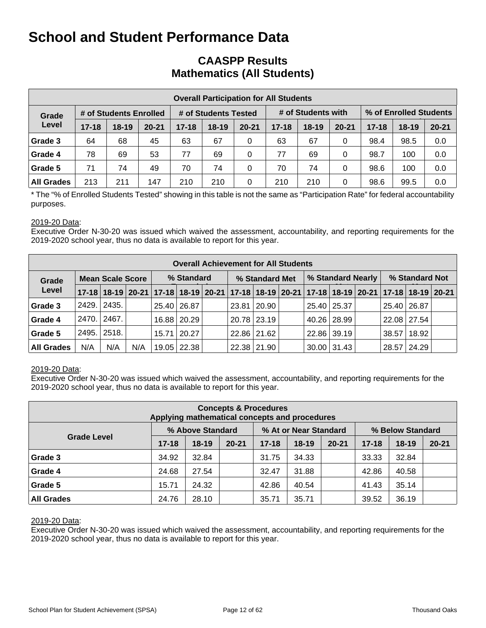## **CAASPP Results Mathematics (All Students)**

|                   | <b>Overall Participation for All Students</b> |                        |           |                      |           |           |           |                    |           |                        |         |           |  |  |
|-------------------|-----------------------------------------------|------------------------|-----------|----------------------|-----------|-----------|-----------|--------------------|-----------|------------------------|---------|-----------|--|--|
| Grade             |                                               | # of Students Enrolled |           | # of Students Tested |           |           |           | # of Students with |           | % of Enrolled Students |         |           |  |  |
| Level             | $17 - 18$                                     | $18-19$                | $20 - 21$ | $17 - 18$            | $18 - 19$ | $20 - 21$ | $17 - 18$ | $18 - 19$          | $20 - 21$ | $17 - 18$              | $18-19$ | $20 - 21$ |  |  |
| Grade 3           | 64                                            | 68                     | 45        | 63                   | 67        | 0         | 63        | 67                 | 0         | 98.4                   | 98.5    | 0.0       |  |  |
| Grade 4           | 78                                            | 69                     | 53        | 77                   | 69        | 0         | 77        | 69                 | 0         | 98.7                   | 100     | 0.0       |  |  |
| Grade 5           | 71                                            | 74                     | 49        | 70                   | 74        | 0         | 70        | 74                 | 0         | 98.6                   | 100     | 0.0       |  |  |
| <b>All Grades</b> | 213                                           | 211                    | 147       | 210                  | 210       | 0         | 210       | 210                | 0         | 98.6                   | 99.5    | 0.0       |  |  |

\* The "% of Enrolled Students Tested" showing in this table is not the same as "Participation Rate" for federal accountability purposes.

#### 2019-20 Data:

Executive Order N-30-20 was issued which waived the assessment, accountability, and reporting requirements for the 2019-2020 school year, thus no data is available to report for this year.

|                   | <b>Overall Achievement for All Students</b> |       |     |            |                    |  |                |               |  |                   |                 |  |                |                                                                                           |  |
|-------------------|---------------------------------------------|-------|-----|------------|--------------------|--|----------------|---------------|--|-------------------|-----------------|--|----------------|-------------------------------------------------------------------------------------------|--|
| Grade             | <b>Mean Scale Score</b>                     |       |     | % Standard |                    |  | % Standard Met |               |  | % Standard Nearly |                 |  | % Standard Not |                                                                                           |  |
| Level             |                                             |       |     |            |                    |  |                |               |  |                   |                 |  |                | 17-18 18-19 20-21 17-18 18-19 20-21 17-18 18-19 20-21 17-18 18-19 20-21 17-18 18-19 20-21 |  |
| Grade 3           | 2429.                                       | 2435. |     |            | 25.40 26.87        |  |                | 23.81   20.90 |  |                   | 25.40   25.37   |  | 25.40 26.87    |                                                                                           |  |
| Grade 4           | 2470.1                                      | 2467. |     |            | 16.88 20.29        |  |                | 20.78 23.19   |  |                   | 40.26 28.99     |  | 22.08 27.54    |                                                                                           |  |
| Grade 5           | 2495.                                       | 2518. |     |            | $15.71 \mid 20.27$ |  |                | 22.86 21.62   |  |                   | 22.86 39.19     |  | 38.57          | 18.92                                                                                     |  |
| <b>All Grades</b> | N/A                                         | N/A   | N/A |            | 19.05   22.38      |  |                | 22.38 21.90   |  |                   | $30.00$   31.43 |  | 28.57          | 24.29                                                                                     |  |

#### 2019-20 Data:

Executive Order N-30-20 was issued which waived the assessment, accountability, and reporting requirements for the 2019-2020 school year, thus no data is available to report for this year.

| <b>Concepts &amp; Procedures</b><br>Applying mathematical concepts and procedures |           |                  |           |           |                       |           |           |                  |           |  |  |
|-----------------------------------------------------------------------------------|-----------|------------------|-----------|-----------|-----------------------|-----------|-----------|------------------|-----------|--|--|
|                                                                                   |           | % Above Standard |           |           | % At or Near Standard |           |           | % Below Standard |           |  |  |
| <b>Grade Level</b>                                                                | $17 - 18$ | $18-19$          | $20 - 21$ | $17 - 18$ | $18-19$               | $20 - 21$ | $17 - 18$ | $18-19$          | $20 - 21$ |  |  |
| Grade 3                                                                           | 34.92     | 32.84            |           | 31.75     | 34.33                 |           | 33.33     | 32.84            |           |  |  |
| Grade 4                                                                           | 24.68     | 27.54            |           | 32.47     | 31.88                 |           | 42.86     | 40.58            |           |  |  |
| Grade 5                                                                           | 15.71     | 24.32            |           | 42.86     | 40.54                 |           | 41.43     | 35.14            |           |  |  |
| <b>All Grades</b>                                                                 | 24.76     | 28.10            |           | 35.71     | 35.71                 |           | 39.52     | 36.19            |           |  |  |

#### 2019-20 Data: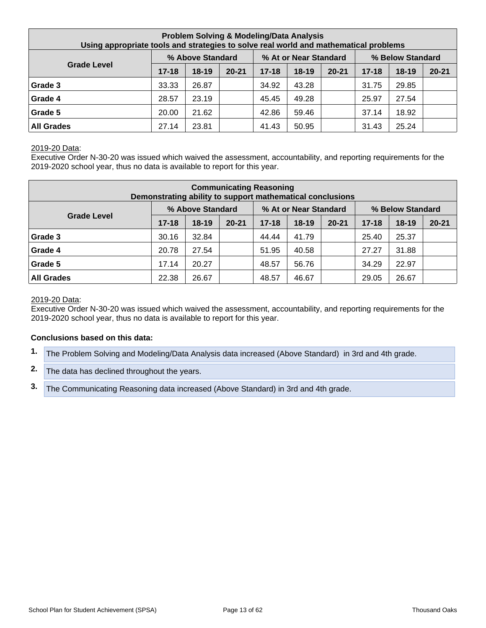| <b>Problem Solving &amp; Modeling/Data Analysis</b><br>Using appropriate tools and strategies to solve real world and mathematical problems |           |                  |           |           |                       |           |           |                  |           |  |  |
|---------------------------------------------------------------------------------------------------------------------------------------------|-----------|------------------|-----------|-----------|-----------------------|-----------|-----------|------------------|-----------|--|--|
|                                                                                                                                             |           | % Above Standard |           |           | % At or Near Standard |           |           | % Below Standard |           |  |  |
| <b>Grade Level</b>                                                                                                                          | $17 - 18$ | $18-19$          | $20 - 21$ | $17 - 18$ | $18-19$               | $20 - 21$ | $17 - 18$ | $18 - 19$        | $20 - 21$ |  |  |
| Grade 3                                                                                                                                     | 33.33     | 26.87            |           | 34.92     | 43.28                 |           | 31.75     | 29.85            |           |  |  |
| Grade 4                                                                                                                                     | 28.57     | 23.19            |           | 45.45     | 49.28                 |           | 25.97     | 27.54            |           |  |  |
| Grade 5                                                                                                                                     | 20.00     | 21.62            |           | 42.86     | 59.46                 |           | 37.14     | 18.92            |           |  |  |
| <b>All Grades</b>                                                                                                                           | 27.14     | 23.81            |           | 41.43     | 50.95                 |           | 31.43     | 25.24            |           |  |  |

Executive Order N-30-20 was issued which waived the assessment, accountability, and reporting requirements for the 2019-2020 school year, thus no data is available to report for this year.

| <b>Communicating Reasoning</b><br>Demonstrating ability to support mathematical conclusions |           |                  |           |           |                       |           |           |                  |           |  |
|---------------------------------------------------------------------------------------------|-----------|------------------|-----------|-----------|-----------------------|-----------|-----------|------------------|-----------|--|
|                                                                                             |           | % Above Standard |           |           | % At or Near Standard |           |           | % Below Standard |           |  |
| <b>Grade Level</b>                                                                          | $17 - 18$ | $18 - 19$        | $20 - 21$ | $17 - 18$ | 18-19                 | $20 - 21$ | $17 - 18$ | $18 - 19$        | $20 - 21$ |  |
| Grade 3                                                                                     | 30.16     | 32.84            |           | 44.44     | 41.79                 |           | 25.40     | 25.37            |           |  |
| Grade 4                                                                                     | 20.78     | 27.54            |           | 51.95     | 40.58                 |           | 27.27     | 31.88            |           |  |
| Grade 5                                                                                     | 17.14     | 20.27            |           | 48.57     | 56.76                 |           | 34.29     | 22.97            |           |  |
| <b>All Grades</b>                                                                           | 22.38     | 26.67            |           | 48.57     | 46.67                 |           | 29.05     | 26.67            |           |  |

#### 2019-20 Data:

Executive Order N-30-20 was issued which waived the assessment, accountability, and reporting requirements for the 2019-2020 school year, thus no data is available to report for this year.

#### **Conclusions based on this data:**

- **1.** The Problem Solving and Modeling/Data Analysis data increased (Above Standard) in 3rd and 4th grade.
- **2.** The data has declined throughout the years.
- **3.** The Communicating Reasoning data increased (Above Standard) in 3rd and 4th grade.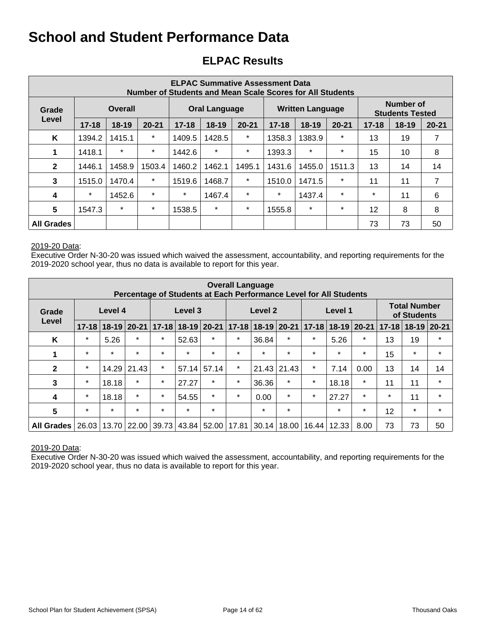## **ELPAC Results**

|                   | <b>ELPAC Summative Assessment Data</b><br><b>Number of Students and Mean Scale Scores for All Students</b> |           |           |           |                                     |         |         |                         |           |           |                                     |           |
|-------------------|------------------------------------------------------------------------------------------------------------|-----------|-----------|-----------|-------------------------------------|---------|---------|-------------------------|-----------|-----------|-------------------------------------|-----------|
| Grade             | <b>Overall</b><br>Level                                                                                    |           |           |           | Oral Language                       |         |         | <b>Written Language</b> |           |           | Number of<br><b>Students Tested</b> |           |
|                   | $17 - 18$                                                                                                  | $18 - 19$ | $20 - 21$ | $17 - 18$ | $18 - 19$<br>$20 - 21$<br>$17 - 18$ |         |         | $18-19$                 | $20 - 21$ | $17 - 18$ | $18 - 19$                           | $20 - 21$ |
| K                 | 1394.2                                                                                                     | 1415.1    | $\star$   | 1409.5    | 1428.5                              | $\ast$  | 1358.3  | 1383.9                  | $\star$   | 13        | 19                                  | 7         |
| 1                 | 1418.1                                                                                                     | $\star$   | $\star$   | 1442.6    | $\ast$                              | $\ast$  | 1393.3  | $\star$                 | $\star$   | 15        | 10                                  | 8         |
| $\mathbf{2}$      | 1446.1                                                                                                     | 1458.9    | 1503.4    | 1460.2    | 1462.1                              | 1495.1  | 1431.6  | 1455.0                  | 1511.3    | 13        | 14                                  | 14        |
| 3                 | 1515.0                                                                                                     | 1470.4    | $\star$   | 1519.6    | 1468.7                              | $\ast$  | 1510.0  | 1471.5                  | $\star$   | 11        | 11                                  | 7         |
| $\boldsymbol{4}$  | $\star$                                                                                                    | 1452.6    | $\star$   | $\star$   | 1467.4                              | $\star$ | $\star$ | 1437.4                  | $\star$   | $\star$   | 11                                  | 6         |
| 5                 | 1547.3                                                                                                     | $\star$   | $\star$   | 1538.5    | $\ast$                              | $\ast$  | 1555.8  | $\star$                 | $\star$   | 12        | 8                                   | 8         |
| <b>All Grades</b> |                                                                                                            |           |           |           |                                     |         |         |                         |           | 73        | 73                                  | 50        |

#### 2019-20 Data:

Executive Order N-30-20 was issued which waived the assessment, accountability, and reporting requirements for the 2019-2020 school year, thus no data is available to report for this year.

| <b>Overall Language</b><br>Percentage of Students at Each Performance Level for All Students |                  |           |           |                         |                         |         |                       |                       |         |                          |         |         |           |                                    |           |
|----------------------------------------------------------------------------------------------|------------------|-----------|-----------|-------------------------|-------------------------|---------|-----------------------|-----------------------|---------|--------------------------|---------|---------|-----------|------------------------------------|-----------|
| Grade                                                                                        | Level 4<br>Level |           |           |                         | Level 3                 |         |                       | Level 2               |         |                          | Level 1 |         |           | <b>Total Number</b><br>of Students |           |
|                                                                                              | $17 - 18$        | $18 - 19$ | $20 - 21$ |                         | $17-18$   18-19   20-21 |         |                       | $17 - 18$ 18-19 20-21 |         | 18-19 20-21<br>$17 - 18$ |         |         | $17 - 18$ | $18 - 19$                          | $20 - 21$ |
| K                                                                                            | $\star$          | 5.26      | $\star$   | $\star$                 | 52.63                   | $\star$ | $\star$               | 36.84                 | $\star$ | $\star$                  | 5.26    | $\star$ | 13        | 19                                 | $\star$   |
| 1                                                                                            | $\star$          | $\star$   | $\star$   | $\star$                 | $\star$                 | $\star$ | $\star$               | $\star$               | $\star$ | $\star$                  | $\star$ | $\star$ | 15        | $\star$                            | $\star$   |
| $\mathbf{2}$                                                                                 | $\star$          | 14.29     | 21.43     | $\star$                 | 57.14                   | 57.14   | $\star$               | 21.43                 | 21.43   | $\star$                  | 7.14    | 0.00    | 13        | 14                                 | 14        |
| 3                                                                                            | $\ast$           | 18.18     | $\star$   | $\star$                 | 27.27                   | $\star$ | $\star$               | 36.36                 | $\star$ | $\star$                  | 18.18   | $\star$ | 11        | 11                                 | $\star$   |
| 4                                                                                            | $\ast$           | 18.18     | $\star$   | $\star$                 | 54.55                   | $\star$ | $\star$               | 0.00                  | $\star$ | $\star$                  | 27.27   | $\star$ | $\star$   | 11                                 | $\star$   |
| 5                                                                                            | $\star$          | $\star$   | $\star$   | $\star$                 | $\star$                 | $\star$ |                       | $\star$               | $\star$ |                          | $\star$ | $\star$ | 12        | $\star$                            | $\star$   |
| <b>All Grades</b>                                                                            | 26.03            |           |           | 13.70 22.00 39.73 43.84 |                         |         | 52.00   17.81   30.14 |                       | 18.00   | 16.44                    | 12.33   | 8.00    | 73        | 73                                 | 50        |

#### 2019-20 Data: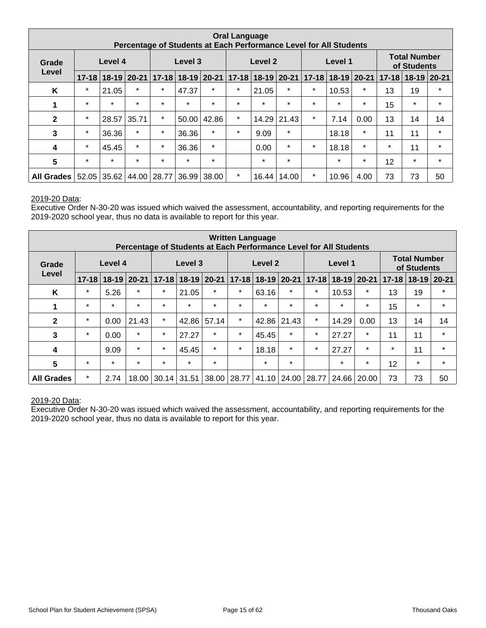| <b>Oral Language</b><br>Percentage of Students at Each Performance Level for All Students |                  |         |               |                                                 |                   |         |         |                           |         |                            |         |         |                           |                                    |         |
|-------------------------------------------------------------------------------------------|------------------|---------|---------------|-------------------------------------------------|-------------------|---------|---------|---------------------------|---------|----------------------------|---------|---------|---------------------------|------------------------------------|---------|
| Grade                                                                                     | Level 4<br>Level |         |               |                                                 | Level 3           |         |         | Level 2                   |         |                            | Level 1 |         |                           | <b>Total Number</b><br>of Students |         |
|                                                                                           | $17 - 18$        |         | $18-19$ 20-21 |                                                 | 17-18 18-19 20-21 |         |         | $17 - 18$ 18 - 19 20 - 21 |         | $18-19$ 20-21<br>$17 - 18$ |         |         | $17 - 18$   18-19   20-21 |                                    |         |
| K                                                                                         | $\star$          | 21.05   | $\star$       | $\star$                                         | 47.37             | $\star$ | $\star$ | 21.05                     | $\star$ | $\star$                    | 10.53   | $\ast$  | 13                        | 19                                 | $\star$ |
| 1                                                                                         | $\star$          | $\star$ | $\star$       | $\star$                                         | $\star$           | $\star$ | $\star$ | $\star$                   | $\star$ | $\star$                    | $\star$ | $\star$ | 15                        | $\star$                            | $\star$ |
| $\mathbf{2}$                                                                              | $\star$          | 28.57   | 35.71         | $\star$                                         | 50.00             | 42.86   | $\star$ | 14.29                     | 21.43   | $\star$                    | 7.14    | 0.00    | 13                        | 14                                 | 14      |
| 3                                                                                         | $\star$          | 36.36   | $\star$       | $\star$                                         | 36.36             | $\star$ | $\star$ | 9.09                      | $\star$ |                            | 18.18   | $\star$ | 11                        | 11                                 | $\star$ |
| 4                                                                                         | $\star$          | 45.45   | $\star$       | $\star$                                         | 36.36             | $\star$ |         | 0.00                      | $\star$ | $\star$                    | 18.18   | $\star$ | $\star$                   | 11                                 | $\star$ |
| $\overline{\mathbf{5}}$                                                                   | $\star$          | $\star$ | $\star$       | $\star$                                         | $\star$           | $\star$ |         | $\star$                   | $\star$ |                            | $\star$ | $\star$ | 12 <sup>2</sup>           | $\star$                            | $\star$ |
| All Grades                                                                                |                  |         |               | $52.05$   35.62   44.00   28.77   36.99   38.00 |                   |         | $\ast$  | 16.44                     | 14.00   | $\star$                    | 10.96   | 4.00    | 73                        | 73                                 | 50      |

Executive Order N-30-20 was issued which waived the assessment, accountability, and reporting requirements for the 2019-2020 school year, thus no data is available to report for this year.

| <b>Written Language</b><br>Percentage of Students at Each Performance Level for All Students |                  |           |           |                   |           |           |           |             |         |                            |         |         |           |                                    |           |
|----------------------------------------------------------------------------------------------|------------------|-----------|-----------|-------------------|-----------|-----------|-----------|-------------|---------|----------------------------|---------|---------|-----------|------------------------------------|-----------|
| Grade                                                                                        | Level 4<br>Level |           |           |                   | Level 3   |           |           | Level 2     |         |                            | Level 1 |         |           | <b>Total Number</b><br>of Students |           |
|                                                                                              | $17 - 18$        | $18 - 19$ | $20 - 21$ | $17 - 18$         | $18 - 19$ | $20 - 21$ | $17 - 18$ | 18-19 20-21 |         | $18-19$ 20-21<br>$17 - 18$ |         |         | $17 - 18$ | $18 - 19$                          | $20 - 21$ |
| K                                                                                            | $\star$          | 5.26      | $\star$   | $\star$           | 21.05     | $\star$   | $\star$   | 63.16       | $\star$ | $\star$                    | 10.53   | $\ast$  | 13        | 19                                 | $\star$   |
| 1                                                                                            | $\star$          | $\star$   | $\star$   | $\star$           | $\star$   | $\star$   | $\star$   | $\star$     | $\star$ | $\star$                    | $\star$ | $\star$ | 15        | $\ast$                             | $\star$   |
| $\mathbf{2}$                                                                                 | $\star$          | 0.00      | 21.43     | $\star$           | 42.86     | 57.14     | $\star$   | 42.86       | 21.43   | $\star$                    | 14.29   | 0.00    | 13        | 14                                 | 14        |
| 3                                                                                            | $\star$          | 0.00      | $\star$   | $\ast$            | 27.27     | $\star$   | $\star$   | 45.45       | $\star$ | $\star$                    | 27.27   | $\star$ | 11        | 11                                 | $\star$   |
| 4                                                                                            |                  | 9.09      | $\star$   | $\star$           | 45.45     | $\star$   | $\star$   | 18.18       | $\star$ | $\star$                    | 27.27   | $\star$ | $\star$   | 11                                 | $\star$   |
| 5                                                                                            | $\star$          | $\star$   | $\star$   | $\star$           | $\star$   | $\star$   |           | $\star$     | $\star$ |                            | $\star$ | $\star$ | 12        | $\star$                            | $\star$   |
| <b>All Grades</b>                                                                            | $\ast$           | 2.74      |           | 18.00 30.14 31.51 |           | 38.00     | 28.77     | 41.10       | 24.00   | 28.77                      | 24.66   | 20.00   | 73        | 73                                 | 50        |

#### 2019-20 Data: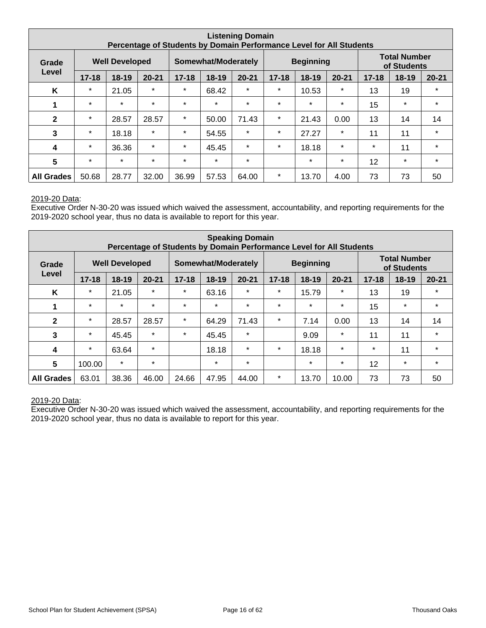| <b>Listening Domain</b><br>Percentage of Students by Domain Performance Level for All Students |                                |           |           |           |                            |           |                                   |                  |         |           |                                    |           |
|------------------------------------------------------------------------------------------------|--------------------------------|-----------|-----------|-----------|----------------------------|-----------|-----------------------------------|------------------|---------|-----------|------------------------------------|-----------|
| Grade                                                                                          | <b>Well Developed</b><br>Level |           |           |           | <b>Somewhat/Moderately</b> |           |                                   | <b>Beginning</b> |         |           | <b>Total Number</b><br>of Students |           |
|                                                                                                | $17 - 18$                      | $18 - 19$ | $20 - 21$ | $17 - 18$ | 18-19                      | $20 - 21$ | $17 - 18$<br>$18-19$<br>$20 - 21$ |                  |         | $17 - 18$ | $18 - 19$                          | $20 - 21$ |
| K                                                                                              | $\star$                        | 21.05     | $\star$   | $\star$   | 68.42                      | $\star$   | $\star$                           | 10.53            | $\star$ | 13        | 19                                 | $\star$   |
| 1                                                                                              | $\star$                        | $\star$   | $\star$   | $\star$   | $\star$                    | $\star$   | $\star$                           | $\star$          | $\star$ | 15        | $\star$                            | $\star$   |
| $\mathbf{2}$                                                                                   | $\star$                        | 28.57     | 28.57     | $\star$   | 50.00                      | 71.43     | $\star$                           | 21.43            | 0.00    | 13        | 14                                 | 14        |
| 3                                                                                              | $\star$                        | 18.18     | $\star$   | $\star$   | 54.55                      | $\star$   | $\star$                           | 27.27            | $\star$ | 11        | 11                                 | $\star$   |
| 4                                                                                              | $\star$                        | 36.36     | $\star$   | $\star$   | 45.45                      | $\star$   | $\star$                           | 18.18            | $\star$ | $\ast$    | 11                                 | $\star$   |
| $5\phantom{.0}$                                                                                | $\star$                        | $\star$   | $\star$   | $\star$   | $\star$                    | $\star$   |                                   | $\star$          | $\star$ | 12        | $\star$                            | $\star$   |
| <b>All Grades</b>                                                                              | 50.68                          | 28.77     | 32.00     | 36.99     | 57.53                      | 64.00     | $\star$                           | 13.70            | 4.00    | 73        | 73                                 | 50        |

Executive Order N-30-20 was issued which waived the assessment, accountability, and reporting requirements for the 2019-2020 school year, thus no data is available to report for this year.

| <b>Speaking Domain</b><br>Percentage of Students by Domain Performance Level for All Students |                                |           |           |           |                     |           |                                     |                  |         |           |                                    |           |
|-----------------------------------------------------------------------------------------------|--------------------------------|-----------|-----------|-----------|---------------------|-----------|-------------------------------------|------------------|---------|-----------|------------------------------------|-----------|
| Grade                                                                                         | <b>Well Developed</b><br>Level |           |           |           | Somewhat/Moderately |           |                                     | <b>Beginning</b> |         |           | <b>Total Number</b><br>of Students |           |
|                                                                                               | $17 - 18$                      | $18 - 19$ | $20 - 21$ | $17 - 18$ | 18-19               | $20 - 21$ | $17 - 18$<br>$18 - 19$<br>$20 - 21$ |                  |         | $17 - 18$ | 18-19                              | $20 - 21$ |
| K                                                                                             | $\star$                        | 21.05     | $\star$   | $\star$   | 63.16               | $\star$   | $\star$                             | 15.79            | $\star$ | 13        | 19                                 | $\star$   |
| 1                                                                                             | $\star$                        | $\star$   | $\star$   | $\star$   | $\star$             | $\star$   | $\star$                             | $\star$          | $\star$ | 15        | $\star$                            | $\star$   |
| $\mathbf{2}$                                                                                  | $\star$                        | 28.57     | 28.57     | $\star$   | 64.29               | 71.43     | $\star$                             | 7.14             | 0.00    | 13        | 14                                 | 14        |
| 3                                                                                             | $\star$                        | 45.45     | $\star$   | $\star$   | 45.45               | $\star$   |                                     | 9.09             | $\star$ | 11        | 11                                 | $\star$   |
| 4                                                                                             | $\star$                        | 63.64     | $\star$   |           | 18.18               | $\star$   | $\star$                             | 18.18            | $\star$ | $\ast$    | 11                                 | $\star$   |
| $5\phantom{.0}$                                                                               | 100.00                         | $\star$   | $\star$   |           | $\star$             | $\star$   |                                     | $\star$          | $\star$ | 12        | $\star$                            | $\star$   |
| <b>All Grades</b>                                                                             | 63.01                          | 38.36     | 46.00     | 24.66     | 47.95               | 44.00     | $\star$                             | 13.70            | 10.00   | 73        | 73                                 | 50        |

#### 2019-20 Data: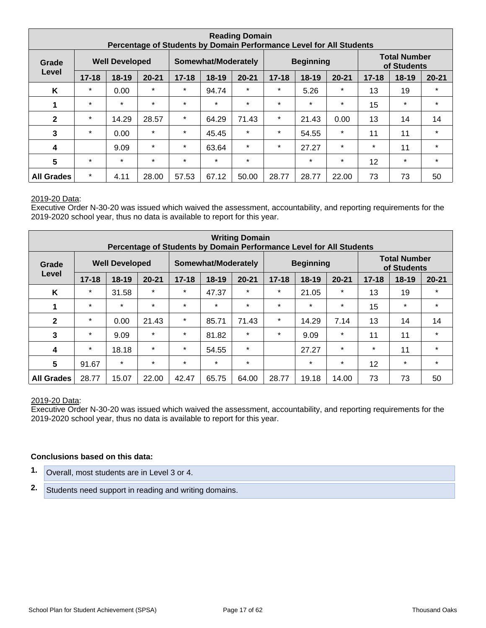| <b>Reading Domain</b><br>Percentage of Students by Domain Performance Level for All Students |           |                       |           |           |                     |           |                                     |                  |         |           |                                    |           |
|----------------------------------------------------------------------------------------------|-----------|-----------------------|-----------|-----------|---------------------|-----------|-------------------------------------|------------------|---------|-----------|------------------------------------|-----------|
| Grade                                                                                        |           | <b>Well Developed</b> |           |           | Somewhat/Moderately |           |                                     | <b>Beginning</b> |         |           | <b>Total Number</b><br>of Students |           |
| Level                                                                                        | $17 - 18$ | $18 - 19$             | $20 - 21$ | $17 - 18$ | $18 - 19$           | $20 - 21$ | $20 - 21$<br>$17 - 18$<br>$18 - 19$ |                  |         | $17 - 18$ | 18-19                              | $20 - 21$ |
| K                                                                                            | $\star$   | 0.00                  | $\star$   | $\star$   | 94.74               | $\ast$    | $\star$                             | 5.26             | $\star$ | 13        | 19                                 | $\star$   |
|                                                                                              | $\star$   | $\star$               | $\star$   | $\star$   | $\star$             | $\star$   | $\star$                             | $\star$          | $\star$ | 15        | $\ast$                             | $\star$   |
| $\mathbf{2}$                                                                                 | $\star$   | 14.29                 | 28.57     | $\star$   | 64.29               | 71.43     | $\star$                             | 21.43            | 0.00    | 13        | 14                                 | 14        |
| 3                                                                                            | $\star$   | 0.00                  | $\star$   | $\star$   | 45.45               | $\star$   | $\star$                             | 54.55            | $\star$ | 11        | 11                                 | $\star$   |
| 4                                                                                            |           | 9.09                  | $\star$   | $\star$   | 63.64               | $\star$   | $\star$                             | 27.27            | $\star$ | $\ast$    | 11                                 | $\star$   |
| $5\phantom{.0}$                                                                              | $\star$   | $\star$               | $\star$   | $\star$   | $\star$             | $\star$   |                                     | $\star$          | $\star$ | 12        | $\ast$                             | $\star$   |
| <b>All Grades</b>                                                                            | $\star$   | 4.11                  | 28.00     | 57.53     | 67.12               | 50.00     | 28.77                               | 28.77            | 22.00   | 73        | 73                                 | 50        |

Executive Order N-30-20 was issued which waived the assessment, accountability, and reporting requirements for the 2019-2020 school year, thus no data is available to report for this year.

| <b>Writing Domain</b><br>Percentage of Students by Domain Performance Level for All Students |           |                       |           |           |                     |           |                                     |                  |         |           |                                    |           |
|----------------------------------------------------------------------------------------------|-----------|-----------------------|-----------|-----------|---------------------|-----------|-------------------------------------|------------------|---------|-----------|------------------------------------|-----------|
| Grade                                                                                        |           | <b>Well Developed</b> |           |           | Somewhat/Moderately |           |                                     | <b>Beginning</b> |         |           | <b>Total Number</b><br>of Students |           |
| Level                                                                                        | $17 - 18$ | $18 - 19$             | $20 - 21$ | $17 - 18$ | $18 - 19$           | $20 - 21$ | $17 - 18$<br>$20 - 21$<br>$18 - 19$ |                  |         | $17 - 18$ | $18 - 19$                          | $20 - 21$ |
| K                                                                                            | $\star$   | 31.58                 | $\star$   | $\star$   | 47.37               | $\star$   | $\star$                             | 21.05            | $\star$ | 13        | 19                                 | $\star$   |
| 1                                                                                            | $\star$   | $\star$               | $\star$   | $\star$   | $\star$             | $\ast$    | $\star$                             | $\star$          | $\star$ | 15        | $\star$                            | $\star$   |
| $\mathbf{2}$                                                                                 | $\ast$    | 0.00                  | 21.43     | $\star$   | 85.71               | 71.43     | $\star$                             | 14.29            | 7.14    | 13        | 14                                 | 14        |
| 3                                                                                            | $\ast$    | 9.09                  | $\star$   | $\star$   | 81.82               | $\ast$    | $\ast$                              | 9.09             | $\ast$  | 11        | 11                                 | $\star$   |
| 4                                                                                            | $\star$   | 18.18                 | $\star$   | $\star$   | 54.55               | $\star$   |                                     | 27.27            | $\star$ | $\star$   | 11                                 | $\star$   |
| 5                                                                                            | 91.67     | $\star$               | $\star$   | $\star$   | $\star$             | $\star$   |                                     | $\star$          | $\star$ | 12        | $\star$                            | $\star$   |
| <b>All Grades</b>                                                                            | 28.77     | 15.07                 | 22.00     | 42.47     | 65.75               | 64.00     | 28.77                               | 19.18            | 14.00   | 73        | 73                                 | 50        |

#### 2019-20 Data:

Executive Order N-30-20 was issued which waived the assessment, accountability, and reporting requirements for the 2019-2020 school year, thus no data is available to report for this year.

#### **Conclusions based on this data:**

- **1.** Overall, most students are in Level 3 or 4.
- **2.** Students need support in reading and writing domains.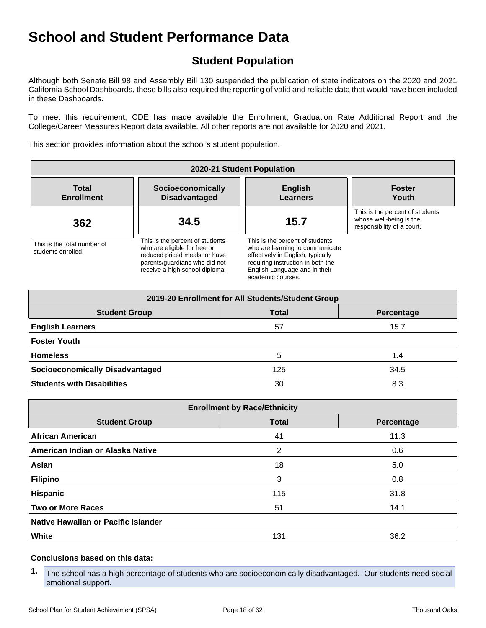## **Student Population**

Although both Senate Bill 98 and Assembly Bill 130 suspended the publication of state indicators on the 2020 and 2021 California School Dashboards, these bills also required the reporting of valid and reliable data that would have been included in these Dashboards.

To meet this requirement, CDE has made available the Enrollment, Graduation Rate Additional Report and the College/Career Measures Report data available. All other reports are not available for 2020 and 2021.

This section provides information about the school's student population.

| 2020-21 Student Population                        |                                                                                                                                                                     |                                                                                                                                                                                                    |                                                                                          |  |  |  |  |  |  |  |  |
|---------------------------------------------------|---------------------------------------------------------------------------------------------------------------------------------------------------------------------|----------------------------------------------------------------------------------------------------------------------------------------------------------------------------------------------------|------------------------------------------------------------------------------------------|--|--|--|--|--|--|--|--|
| <b>Total</b><br><b>Enrollment</b>                 | Socioeconomically<br><b>Disadvantaged</b>                                                                                                                           | <b>English</b><br><b>Learners</b>                                                                                                                                                                  | <b>Foster</b><br>Youth                                                                   |  |  |  |  |  |  |  |  |
| 362                                               | 34.5                                                                                                                                                                | 15.7                                                                                                                                                                                               | This is the percent of students<br>whose well-being is the<br>responsibility of a court. |  |  |  |  |  |  |  |  |
| This is the total number of<br>students enrolled. | This is the percent of students<br>who are eligible for free or<br>reduced priced meals; or have<br>parents/quardians who did not<br>receive a high school diploma. | This is the percent of students<br>who are learning to communicate<br>effectively in English, typically<br>requiring instruction in both the<br>English Language and in their<br>academic courses. |                                                                                          |  |  |  |  |  |  |  |  |

| 2019-20 Enrollment for All Students/Student Group  |     |      |  |  |  |
|----------------------------------------------------|-----|------|--|--|--|
| <b>Student Group</b><br><b>Total</b><br>Percentage |     |      |  |  |  |
| <b>English Learners</b>                            | 57  | 15.7 |  |  |  |
| <b>Foster Youth</b>                                |     |      |  |  |  |
| <b>Homeless</b>                                    | 5   | 1.4  |  |  |  |
| <b>Socioeconomically Disadvantaged</b>             | 125 | 34.5 |  |  |  |
| <b>Students with Disabilities</b>                  | 30  | 8.3  |  |  |  |

| <b>Enrollment by Race/Ethnicity</b>                |     |      |  |  |  |
|----------------------------------------------------|-----|------|--|--|--|
| <b>Student Group</b><br><b>Total</b><br>Percentage |     |      |  |  |  |
| <b>African American</b>                            | 41  | 11.3 |  |  |  |
| American Indian or Alaska Native                   | 2   | 0.6  |  |  |  |
| Asian                                              | 18  | 5.0  |  |  |  |
| <b>Filipino</b>                                    | 3   | 0.8  |  |  |  |
| <b>Hispanic</b>                                    | 115 | 31.8 |  |  |  |
| <b>Two or More Races</b>                           | 51  | 14.1 |  |  |  |
| Native Hawaiian or Pacific Islander                |     |      |  |  |  |
| White                                              | 131 | 36.2 |  |  |  |

#### **Conclusions based on this data:**

**1.** The school has a high percentage of students who are socioeconomically disadvantaged. Our students need social emotional support.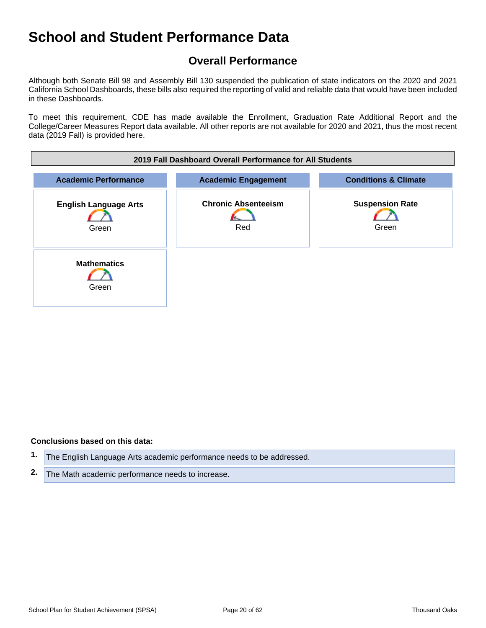## **Overall Performance**

Although both Senate Bill 98 and Assembly Bill 130 suspended the publication of state indicators on the 2020 and 2021 California School Dashboards, these bills also required the reporting of valid and reliable data that would have been included in these Dashboards.

To meet this requirement, CDE has made available the Enrollment, Graduation Rate Additional Report and the College/Career Measures Report data available. All other reports are not available for 2020 and 2021, thus the most recent data (2019 Fall) is provided here.



#### **Conclusions based on this data:**

- **1.** The English Language Arts academic performance needs to be addressed.
- **2.** The Math academic performance needs to increase.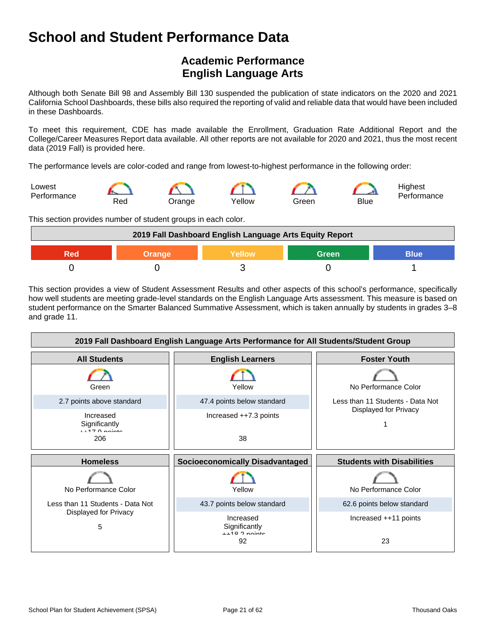## **Academic Performance English Language Arts**

Although both Senate Bill 98 and Assembly Bill 130 suspended the publication of state indicators on the 2020 and 2021 California School Dashboards, these bills also required the reporting of valid and reliable data that would have been included in these Dashboards.

To meet this requirement, CDE has made available the Enrollment, Graduation Rate Additional Report and the College/Career Measures Report data available. All other reports are not available for 2020 and 2021, thus the most recent data (2019 Fall) is provided here.

The performance levels are color-coded and range from lowest-to-highest performance in the following order:



This section provides number of student groups in each color.

| 2019 Fall Dashboard English Language Arts Equity Report |  |  |  |  |
|---------------------------------------------------------|--|--|--|--|
| <b>Blue</b><br>Green<br><b>Yellow</b><br><b>Orange</b>  |  |  |  |  |
|                                                         |  |  |  |  |

This section provides a view of Student Assessment Results and other aspects of this school's performance, specifically how well students are meeting grade-level standards on the English Language Arts assessment. This measure is based on student performance on the Smarter Balanced Summative Assessment, which is taken annually by students in grades 3–8 and grade 11.

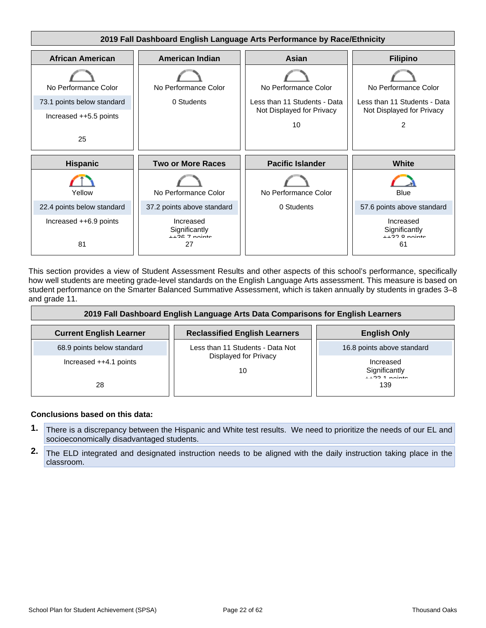

This section provides a view of Student Assessment Results and other aspects of this school's performance, specifically how well students are meeting grade-level standards on the English Language Arts assessment. This measure is based on student performance on the Smarter Balanced Summative Assessment, which is taken annually by students in grades 3–8 and grade 11.

| 2019 Fall Dashboard English Language Arts Data Comparisons for English Learners |                                      |                                                     |  |
|---------------------------------------------------------------------------------|--------------------------------------|-----------------------------------------------------|--|
| <b>Current English Learner</b>                                                  | <b>Reclassified English Learners</b> | <b>English Only</b>                                 |  |
| 68.9 points below standard                                                      | Less than 11 Students - Data Not     | 16.8 points above standard                          |  |
| Increased $++4.1$ points<br>28                                                  | Displayed for Privacy<br>10          | Increased<br>Significantly<br>$11224$ points<br>139 |  |

#### **Conclusions based on this data:**

- **1.** There is a discrepancy between the Hispanic and White test results. We need to prioritize the needs of our EL and socioeconomically disadvantaged students.
- **2.** The ELD integrated and designated instruction needs to be aligned with the daily instruction taking place in the classroom.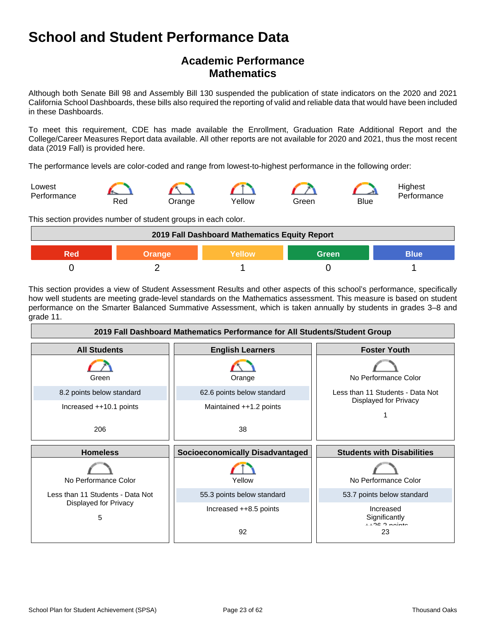## **Academic Performance Mathematics**

Although both Senate Bill 98 and Assembly Bill 130 suspended the publication of state indicators on the 2020 and 2021 California School Dashboards, these bills also required the reporting of valid and reliable data that would have been included in these Dashboards.

To meet this requirement, CDE has made available the Enrollment, Graduation Rate Additional Report and the College/Career Measures Report data available. All other reports are not available for 2020 and 2021, thus the most recent data (2019 Fall) is provided here.

The performance levels are color-coded and range from lowest-to-highest performance in the following order:



This section provides number of student groups in each color.



This section provides a view of Student Assessment Results and other aspects of this school's performance, specifically how well students are meeting grade-level standards on the Mathematics assessment. This measure is based on student performance on the Smarter Balanced Summative Assessment, which is taken annually by students in grades 3–8 and grade 11.

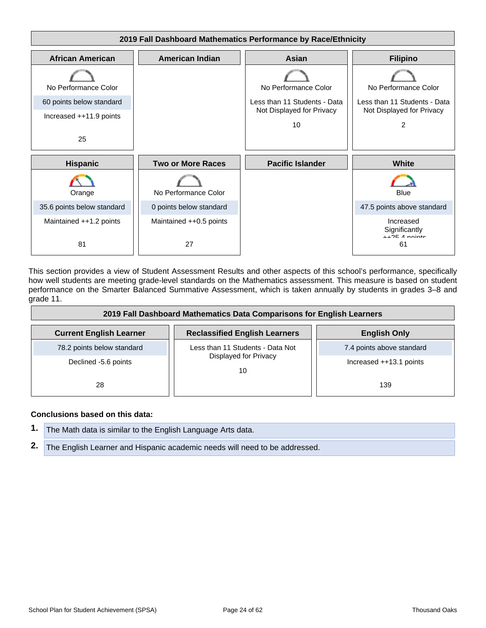

This section provides a view of Student Assessment Results and other aspects of this school's performance, specifically how well students are meeting grade-level standards on the Mathematics assessment. This measure is based on student performance on the Smarter Balanced Summative Assessment, which is taken annually by students in grades 3–8 and grade 11.

| 2019 Fall Dashboard Mathematics Data Comparisons for English Learners |                                      |                           |  |
|-----------------------------------------------------------------------|--------------------------------------|---------------------------|--|
| <b>Current English Learner</b>                                        | <b>Reclassified English Learners</b> | <b>English Only</b>       |  |
| 78.2 points below standard                                            | Less than 11 Students - Data Not     | 7.4 points above standard |  |
| Declined -5.6 points                                                  | Displayed for Privacy<br>10          | Increased ++13.1 points   |  |
| 28                                                                    |                                      | 139                       |  |

#### **Conclusions based on this data:**

| 1. The Math data is similar to the English Language Arts data. |                                                                               |
|----------------------------------------------------------------|-------------------------------------------------------------------------------|
|                                                                | 2. The English Learner and Hispanic academic needs will need to be addressed. |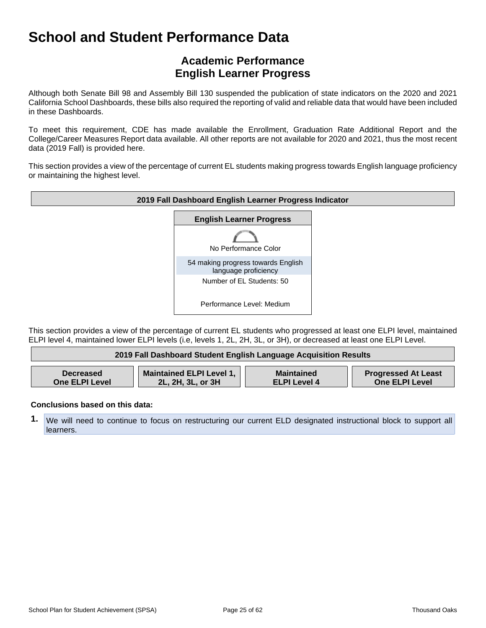## **Academic Performance English Learner Progress**

Although both Senate Bill 98 and Assembly Bill 130 suspended the publication of state indicators on the 2020 and 2021 California School Dashboards, these bills also required the reporting of valid and reliable data that would have been included in these Dashboards.

To meet this requirement, CDE has made available the Enrollment, Graduation Rate Additional Report and the College/Career Measures Report data available. All other reports are not available for 2020 and 2021, thus the most recent data (2019 Fall) is provided here.

This section provides a view of the percentage of current EL students making progress towards English language proficiency or maintaining the highest level.



This section provides a view of the percentage of current EL students who progressed at least one ELPI level, maintained ELPI level 4, maintained lower ELPI levels (i.e, levels 1, 2L, 2H, 3L, or 3H), or decreased at least one ELPI Level.

| 2019 Fall Dashboard Student English Language Acquisition Results |                          |                     |                            |
|------------------------------------------------------------------|--------------------------|---------------------|----------------------------|
| <b>Decreased</b>                                                 | Maintained ELPI Level 1, | <b>Maintained</b>   | <b>Progressed At Least</b> |
| <b>One ELPI Level</b>                                            | 2L, 2H, 3L, or 3H        | <b>ELPI Level 4</b> | <b>One ELPI Level</b>      |

#### **Conclusions based on this data:**

**1.** We will need to continue to focus on restructuring our current ELD designated instructional block to support all learners.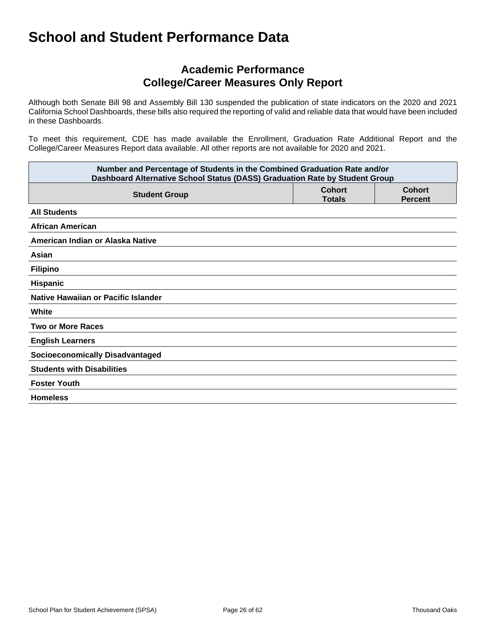## **Academic Performance College/Career Measures Only Report**

Although both Senate Bill 98 and Assembly Bill 130 suspended the publication of state indicators on the 2020 and 2021 California School Dashboards, these bills also required the reporting of valid and reliable data that would have been included in these Dashboards.

To meet this requirement, CDE has made available the Enrollment, Graduation Rate Additional Report and the College/Career Measures Report data available. All other reports are not available for 2020 and 2021.

| Number and Percentage of Students in the Combined Graduation Rate and/or<br>Dashboard Alternative School Status (DASS) Graduation Rate by Student Group |                                |                                 |  |
|---------------------------------------------------------------------------------------------------------------------------------------------------------|--------------------------------|---------------------------------|--|
| <b>Student Group</b>                                                                                                                                    | <b>Cohort</b><br><b>Totals</b> | <b>Cohort</b><br><b>Percent</b> |  |
| <b>All Students</b>                                                                                                                                     |                                |                                 |  |
| <b>African American</b>                                                                                                                                 |                                |                                 |  |
| American Indian or Alaska Native                                                                                                                        |                                |                                 |  |
| Asian                                                                                                                                                   |                                |                                 |  |
| <b>Filipino</b>                                                                                                                                         |                                |                                 |  |
| Hispanic                                                                                                                                                |                                |                                 |  |
| Native Hawaiian or Pacific Islander                                                                                                                     |                                |                                 |  |
| White                                                                                                                                                   |                                |                                 |  |
| <b>Two or More Races</b>                                                                                                                                |                                |                                 |  |
| <b>English Learners</b>                                                                                                                                 |                                |                                 |  |
| <b>Socioeconomically Disadvantaged</b>                                                                                                                  |                                |                                 |  |
| <b>Students with Disabilities</b>                                                                                                                       |                                |                                 |  |
| <b>Foster Youth</b>                                                                                                                                     |                                |                                 |  |
| <b>Homeless</b>                                                                                                                                         |                                |                                 |  |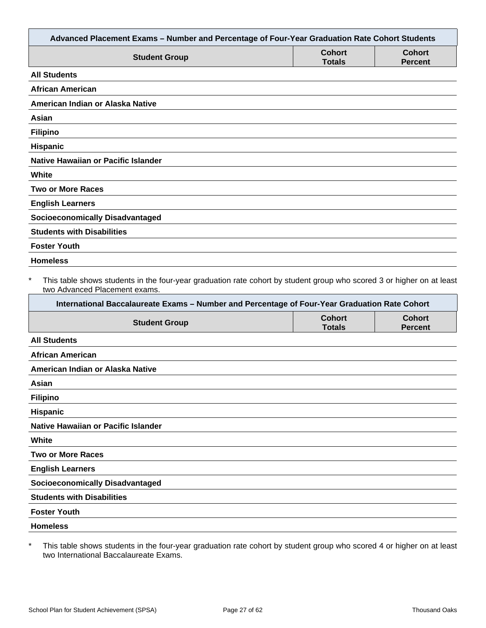| Advanced Placement Exams - Number and Percentage of Four-Year Graduation Rate Cohort Students                                                                                                                                                                     |                                |                                 |
|-------------------------------------------------------------------------------------------------------------------------------------------------------------------------------------------------------------------------------------------------------------------|--------------------------------|---------------------------------|
| <b>Student Group</b>                                                                                                                                                                                                                                              | <b>Cohort</b><br><b>Totals</b> | <b>Cohort</b><br><b>Percent</b> |
| <b>All Students</b>                                                                                                                                                                                                                                               |                                |                                 |
| <b>African American</b>                                                                                                                                                                                                                                           |                                |                                 |
| American Indian or Alaska Native                                                                                                                                                                                                                                  |                                |                                 |
| Asian                                                                                                                                                                                                                                                             |                                |                                 |
| <b>Filipino</b>                                                                                                                                                                                                                                                   |                                |                                 |
| Hispanic                                                                                                                                                                                                                                                          |                                |                                 |
| <b>Native Hawaiian or Pacific Islander</b>                                                                                                                                                                                                                        |                                |                                 |
| White                                                                                                                                                                                                                                                             |                                |                                 |
| <b>Two or More Races</b>                                                                                                                                                                                                                                          |                                |                                 |
| <b>English Learners</b>                                                                                                                                                                                                                                           |                                |                                 |
| <b>Socioeconomically Disadvantaged</b>                                                                                                                                                                                                                            |                                |                                 |
| <b>Students with Disabilities</b>                                                                                                                                                                                                                                 |                                |                                 |
| <b>Foster Youth</b>                                                                                                                                                                                                                                               |                                |                                 |
| <b>Homeless</b>                                                                                                                                                                                                                                                   |                                |                                 |
| $\ast$<br>This table shows students in the four-year graduation rate cohort by student group who scored 3 or higher on at least<br>two Advanced Placement exams.<br>International Baccalaureate Exams - Number and Percentage of Four-Year Graduation Rate Cohort |                                |                                 |
| <b>Student Group</b>                                                                                                                                                                                                                                              | <b>Cohort</b><br><b>Totals</b> | <b>Cohort</b><br><b>Percent</b> |
| <b>All Students</b>                                                                                                                                                                                                                                               |                                |                                 |
| <b>African American</b>                                                                                                                                                                                                                                           |                                |                                 |
| American Indian or Alaska Native                                                                                                                                                                                                                                  |                                |                                 |
| Asian                                                                                                                                                                                                                                                             |                                |                                 |
| <b>Filipino</b>                                                                                                                                                                                                                                                   |                                |                                 |
| Hispanic                                                                                                                                                                                                                                                          |                                |                                 |
| Native Hawaiian or Pacific Islander                                                                                                                                                                                                                               |                                |                                 |
| White                                                                                                                                                                                                                                                             |                                |                                 |
| <b>Two or More Races</b>                                                                                                                                                                                                                                          |                                |                                 |
| <b>English Learners</b>                                                                                                                                                                                                                                           |                                |                                 |
| <b>Socioeconomically Disadvantaged</b>                                                                                                                                                                                                                            |                                |                                 |
| <b>Students with Disabilities</b>                                                                                                                                                                                                                                 |                                |                                 |
| <b>Foster Youth</b>                                                                                                                                                                                                                                               |                                |                                 |
| <b>Homeless</b>                                                                                                                                                                                                                                                   |                                |                                 |
|                                                                                                                                                                                                                                                                   |                                |                                 |

\* This table shows students in the four-year graduation rate cohort by student group who scored 4 or higher on at least two International Baccalaureate Exams.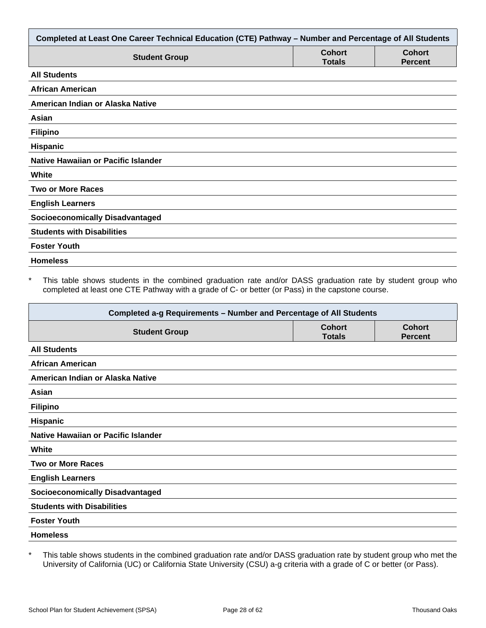| Completed at Least One Career Technical Education (CTE) Pathway - Number and Percentage of All Students |                                |                                 |  |
|---------------------------------------------------------------------------------------------------------|--------------------------------|---------------------------------|--|
| <b>Student Group</b>                                                                                    | <b>Cohort</b><br><b>Totals</b> | <b>Cohort</b><br><b>Percent</b> |  |
| <b>All Students</b>                                                                                     |                                |                                 |  |
| <b>African American</b>                                                                                 |                                |                                 |  |
| American Indian or Alaska Native                                                                        |                                |                                 |  |
| Asian                                                                                                   |                                |                                 |  |
| <b>Filipino</b>                                                                                         |                                |                                 |  |
| Hispanic                                                                                                |                                |                                 |  |
| Native Hawaiian or Pacific Islander                                                                     |                                |                                 |  |
| White                                                                                                   |                                |                                 |  |
| <b>Two or More Races</b>                                                                                |                                |                                 |  |
| <b>English Learners</b>                                                                                 |                                |                                 |  |
| <b>Socioeconomically Disadvantaged</b>                                                                  |                                |                                 |  |
| <b>Students with Disabilities</b>                                                                       |                                |                                 |  |
| <b>Foster Youth</b>                                                                                     |                                |                                 |  |
| <b>Homeless</b>                                                                                         |                                |                                 |  |

\* This table shows students in the combined graduation rate and/or DASS graduation rate by student group who completed at least one CTE Pathway with a grade of C- or better (or Pass) in the capstone course.

| Completed a-g Requirements - Number and Percentage of All Students |                                |                                 |  |
|--------------------------------------------------------------------|--------------------------------|---------------------------------|--|
| <b>Student Group</b>                                               | <b>Cohort</b><br><b>Totals</b> | <b>Cohort</b><br><b>Percent</b> |  |
| <b>All Students</b>                                                |                                |                                 |  |
| <b>African American</b>                                            |                                |                                 |  |
| American Indian or Alaska Native                                   |                                |                                 |  |
| Asian                                                              |                                |                                 |  |
| <b>Filipino</b>                                                    |                                |                                 |  |
| <b>Hispanic</b>                                                    |                                |                                 |  |
| Native Hawaiian or Pacific Islander                                |                                |                                 |  |
| White                                                              |                                |                                 |  |
| <b>Two or More Races</b>                                           |                                |                                 |  |
| <b>English Learners</b>                                            |                                |                                 |  |
| <b>Socioeconomically Disadvantaged</b>                             |                                |                                 |  |
| <b>Students with Disabilities</b>                                  |                                |                                 |  |
| <b>Foster Youth</b>                                                |                                |                                 |  |
| <b>Homeless</b>                                                    |                                |                                 |  |

\* This table shows students in the combined graduation rate and/or DASS graduation rate by student group who met the University of California (UC) or California State University (CSU) a-g criteria with a grade of C or better (or Pass).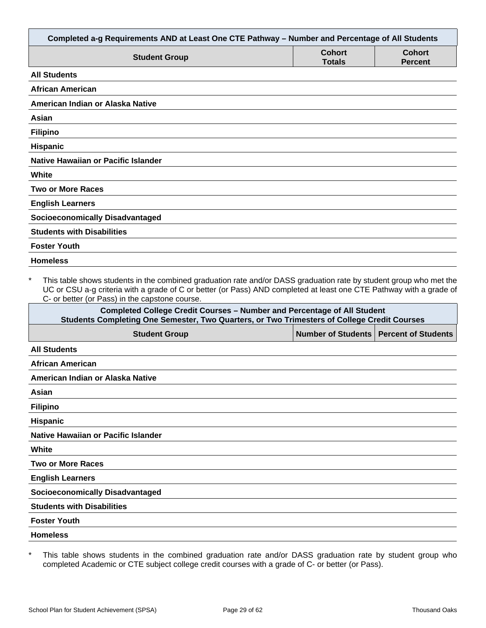| Completed a-g Requirements AND at Least One CTE Pathway - Number and Percentage of All Students                                                                                                                                                                                                        |                                |                                 |
|--------------------------------------------------------------------------------------------------------------------------------------------------------------------------------------------------------------------------------------------------------------------------------------------------------|--------------------------------|---------------------------------|
| <b>Student Group</b>                                                                                                                                                                                                                                                                                   | <b>Cohort</b><br><b>Totals</b> | <b>Cohort</b><br><b>Percent</b> |
| <b>All Students</b>                                                                                                                                                                                                                                                                                    |                                |                                 |
| <b>African American</b>                                                                                                                                                                                                                                                                                |                                |                                 |
| American Indian or Alaska Native                                                                                                                                                                                                                                                                       |                                |                                 |
| Asian                                                                                                                                                                                                                                                                                                  |                                |                                 |
| <b>Filipino</b>                                                                                                                                                                                                                                                                                        |                                |                                 |
| <b>Hispanic</b>                                                                                                                                                                                                                                                                                        |                                |                                 |
| Native Hawaiian or Pacific Islander                                                                                                                                                                                                                                                                    |                                |                                 |
| White                                                                                                                                                                                                                                                                                                  |                                |                                 |
| <b>Two or More Races</b>                                                                                                                                                                                                                                                                               |                                |                                 |
| <b>English Learners</b>                                                                                                                                                                                                                                                                                |                                |                                 |
| <b>Socioeconomically Disadvantaged</b>                                                                                                                                                                                                                                                                 |                                |                                 |
| <b>Students with Disabilities</b>                                                                                                                                                                                                                                                                      |                                |                                 |
| <b>Foster Youth</b>                                                                                                                                                                                                                                                                                    |                                |                                 |
| <b>Homeless</b>                                                                                                                                                                                                                                                                                        |                                |                                 |
| $\star$<br>This table shows students in the combined graduation rate and/or DASS graduation rate by student group who met the<br>UC or CSU a-g criteria with a grade of C or better (or Pass) AND completed at least one CTE Pathway with a grade of<br>C- or better (or Pass) in the capstone course. |                                |                                 |
| <b>Completed College Credit Courses - Number and Percentage of All Student</b><br>Students Completing One Semester, Two Quarters, or Two Trimesters of College Credit Courses                                                                                                                          |                                |                                 |
| <b>Student Group</b>                                                                                                                                                                                                                                                                                   | <b>Number of Students</b>      | <b>Percent of Students</b>      |
| <b>All Students</b>                                                                                                                                                                                                                                                                                    |                                |                                 |
| African American                                                                                                                                                                                                                                                                                       |                                |                                 |
| American Indian or Alaska Native                                                                                                                                                                                                                                                                       |                                |                                 |
| Asian                                                                                                                                                                                                                                                                                                  |                                |                                 |

**Filipino**

**Hispanic**

**Native Hawaiian or Pacific Islander**

**White**

**Two or More Races**

**English Learners**

**Socioeconomically Disadvantaged**

**Students with Disabilities**

**Foster Youth**

**Homeless**

\* This table shows students in the combined graduation rate and/or DASS graduation rate by student group who completed Academic or CTE subject college credit courses with a grade of C- or better (or Pass).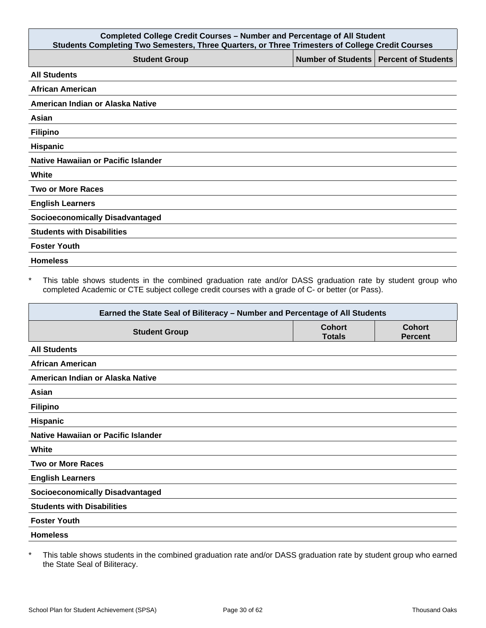| <b>Completed College Credit Courses - Number and Percentage of All Student</b><br>Students Completing Two Semesters, Three Quarters, or Three Trimesters of College Credit Courses |                                          |  |
|------------------------------------------------------------------------------------------------------------------------------------------------------------------------------------|------------------------------------------|--|
| <b>Student Group</b>                                                                                                                                                               | Number of Students   Percent of Students |  |
| <b>All Students</b>                                                                                                                                                                |                                          |  |
| <b>African American</b>                                                                                                                                                            |                                          |  |
| American Indian or Alaska Native                                                                                                                                                   |                                          |  |
| Asian                                                                                                                                                                              |                                          |  |
| <b>Filipino</b>                                                                                                                                                                    |                                          |  |
| Hispanic                                                                                                                                                                           |                                          |  |
| Native Hawaiian or Pacific Islander                                                                                                                                                |                                          |  |
| White                                                                                                                                                                              |                                          |  |
| <b>Two or More Races</b>                                                                                                                                                           |                                          |  |
| <b>English Learners</b>                                                                                                                                                            |                                          |  |
| <b>Socioeconomically Disadvantaged</b>                                                                                                                                             |                                          |  |
| <b>Students with Disabilities</b>                                                                                                                                                  |                                          |  |
| <b>Foster Youth</b>                                                                                                                                                                |                                          |  |
| <b>Homeless</b>                                                                                                                                                                    |                                          |  |

\* This table shows students in the combined graduation rate and/or DASS graduation rate by student group who completed Academic or CTE subject college credit courses with a grade of C- or better (or Pass).

| Earned the State Seal of Biliteracy - Number and Percentage of All Students |                                |                                 |
|-----------------------------------------------------------------------------|--------------------------------|---------------------------------|
| <b>Student Group</b>                                                        | <b>Cohort</b><br><b>Totals</b> | <b>Cohort</b><br><b>Percent</b> |
| <b>All Students</b>                                                         |                                |                                 |
| <b>African American</b>                                                     |                                |                                 |
| American Indian or Alaska Native                                            |                                |                                 |
| Asian                                                                       |                                |                                 |
| <b>Filipino</b>                                                             |                                |                                 |
| <b>Hispanic</b>                                                             |                                |                                 |
| Native Hawaiian or Pacific Islander                                         |                                |                                 |
| White                                                                       |                                |                                 |
| <b>Two or More Races</b>                                                    |                                |                                 |
| <b>English Learners</b>                                                     |                                |                                 |
| <b>Socioeconomically Disadvantaged</b>                                      |                                |                                 |
| <b>Students with Disabilities</b>                                           |                                |                                 |
| <b>Foster Youth</b>                                                         |                                |                                 |
| <b>Homeless</b>                                                             |                                |                                 |

\* This table shows students in the combined graduation rate and/or DASS graduation rate by student group who earned the State Seal of Biliteracy.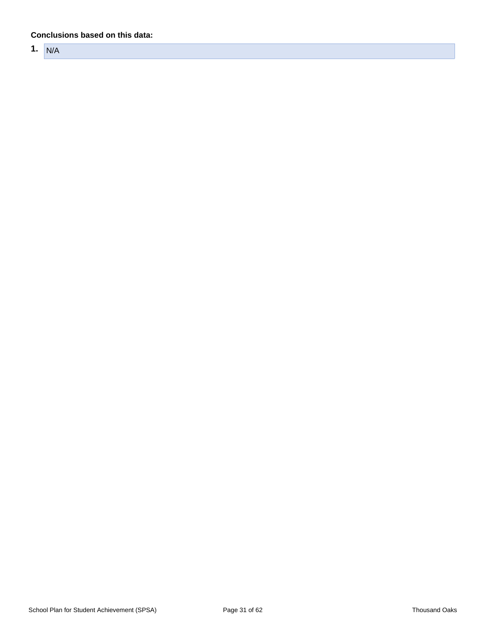#### **Conclusions based on this data:**

**1.** N/A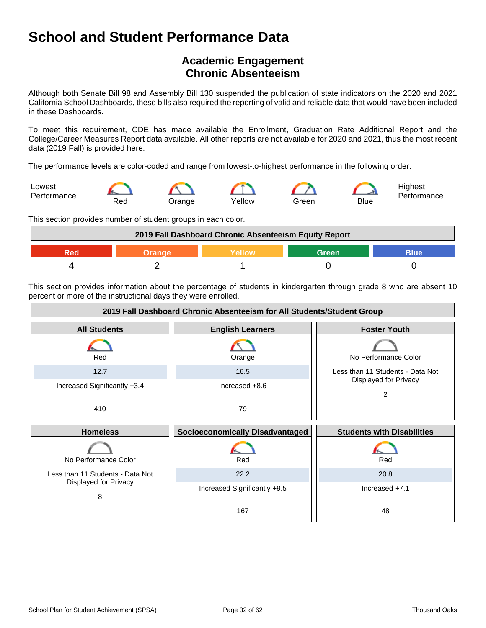## **Academic Engagement Chronic Absenteeism**

Although both Senate Bill 98 and Assembly Bill 130 suspended the publication of state indicators on the 2020 and 2021 California School Dashboards, these bills also required the reporting of valid and reliable data that would have been included in these Dashboards.

To meet this requirement, CDE has made available the Enrollment, Graduation Rate Additional Report and the College/Career Measures Report data available. All other reports are not available for 2020 and 2021, thus the most recent data (2019 Fall) is provided here.

The performance levels are color-coded and range from lowest-to-highest performance in the following order:



This section provides number of student groups in each color.



This section provides information about the percentage of students in kindergarten through grade 8 who are absent 10 percent or more of the instructional days they were enrolled.

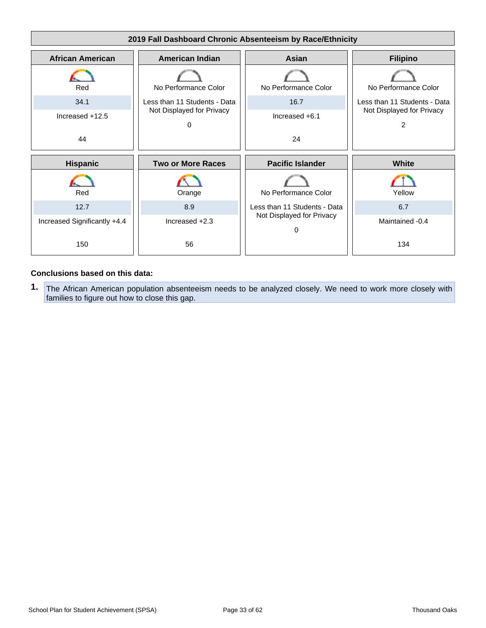

#### **Conclusions based on this data:**

**1.** The African American population absenteeism needs to be analyzed closely. We need to work more closely with families to figure out how to close this gap.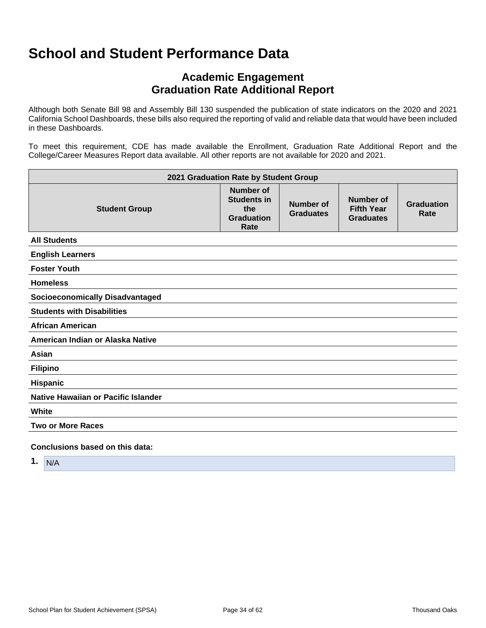## **Academic Engagement Graduation Rate Additional Report**

Although both Senate Bill 98 and Assembly Bill 130 suspended the publication of state indicators on the 2020 and 2021 California School Dashboards, these bills also required the reporting of valid and reliable data that would have been included in these Dashboards.

To meet this requirement, CDE has made available the Enrollment, Graduation Rate Additional Report and the College/Career Measures Report data available. All other reports are not available for 2020 and 2021.

| 2021 Graduation Rate by Student Group  |                                                                            |                               |                                                    |                           |
|----------------------------------------|----------------------------------------------------------------------------|-------------------------------|----------------------------------------------------|---------------------------|
| <b>Student Group</b>                   | <b>Number of</b><br><b>Students in</b><br>the<br><b>Graduation</b><br>Rate | Number of<br><b>Graduates</b> | Number of<br><b>Fifth Year</b><br><b>Graduates</b> | <b>Graduation</b><br>Rate |
| <b>All Students</b>                    |                                                                            |                               |                                                    |                           |
| <b>English Learners</b>                |                                                                            |                               |                                                    |                           |
| <b>Foster Youth</b>                    |                                                                            |                               |                                                    |                           |
| <b>Homeless</b>                        |                                                                            |                               |                                                    |                           |
| <b>Socioeconomically Disadvantaged</b> |                                                                            |                               |                                                    |                           |
| <b>Students with Disabilities</b>      |                                                                            |                               |                                                    |                           |
| <b>African American</b>                |                                                                            |                               |                                                    |                           |
| American Indian or Alaska Native       |                                                                            |                               |                                                    |                           |
| Asian                                  |                                                                            |                               |                                                    |                           |
| <b>Filipino</b>                        |                                                                            |                               |                                                    |                           |
| <b>Hispanic</b>                        |                                                                            |                               |                                                    |                           |
| Native Hawaiian or Pacific Islander    |                                                                            |                               |                                                    |                           |
| White                                  |                                                                            |                               |                                                    |                           |
| <b>Two or More Races</b>               |                                                                            |                               |                                                    |                           |
| Conclusions based on this data:        |                                                                            |                               |                                                    |                           |

**1.** N/A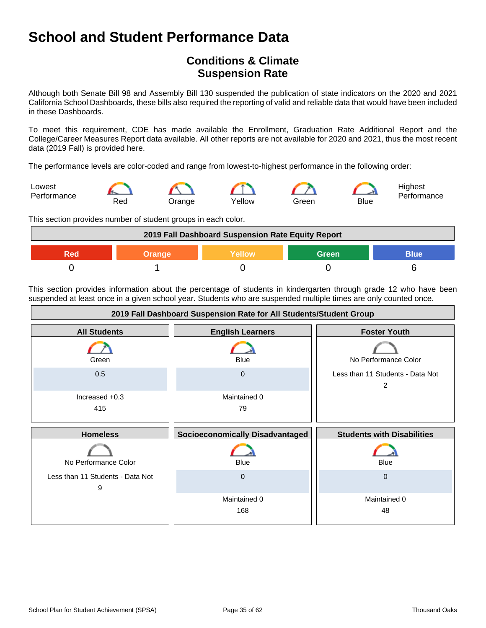## **Conditions & Climate Suspension Rate**

Although both Senate Bill 98 and Assembly Bill 130 suspended the publication of state indicators on the 2020 and 2021 California School Dashboards, these bills also required the reporting of valid and reliable data that would have been included in these Dashboards.

To meet this requirement, CDE has made available the Enrollment, Graduation Rate Additional Report and the College/Career Measures Report data available. All other reports are not available for 2020 and 2021, thus the most recent data (2019 Fall) is provided here.

The performance levels are color-coded and range from lowest-to-highest performance in the following order:



This section provides number of student groups in each color.



This section provides information about the percentage of students in kindergarten through grade 12 who have been suspended at least once in a given school year. Students who are suspended multiple times are only counted once.

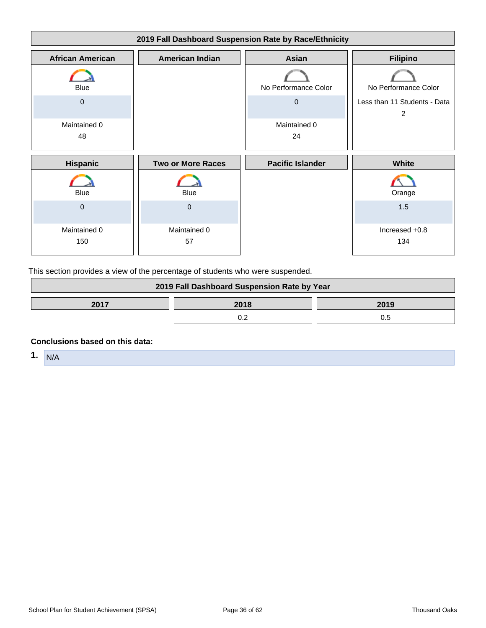

This section provides a view of the percentage of students who were suspended.

| 2019 Fall Dashboard Suspension Rate by Year |  |     |  |
|---------------------------------------------|--|-----|--|
| 2017<br>2018<br>2019                        |  |     |  |
|                                             |  | 0.5 |  |

#### **Conclusions based on this data:**

**1.** N/A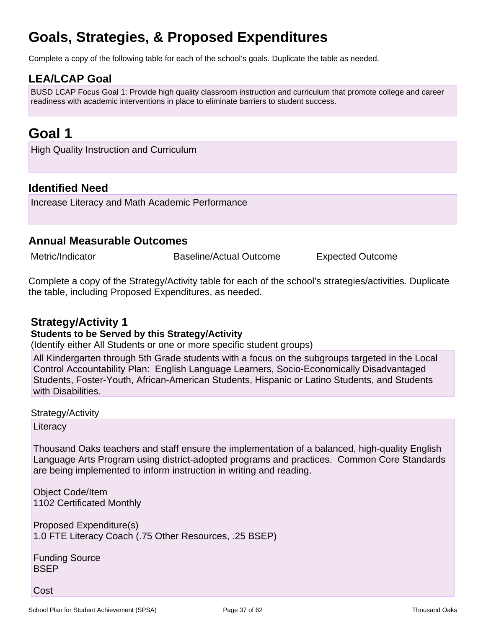## **Goals, Strategies, & Proposed Expenditures**

Complete a copy of the following table for each of the school's goals. Duplicate the table as needed.

## **LEA/LCAP Goal**

BUSD LCAP Focus Goal 1: Provide high quality classroom instruction and curriculum that promote college and career readiness with academic interventions in place to eliminate barriers to student success.

## **Goal 1**

High Quality Instruction and Curriculum

## **Identified Need**

Increase Literacy and Math Academic Performance

### **Annual Measurable Outcomes**

Metric/Indicator **Baseline/Actual Outcome** Expected Outcome

Complete a copy of the Strategy/Activity table for each of the school's strategies/activities. Duplicate the table, including Proposed Expenditures, as needed.

### **Strategy/Activity 1**

#### **Students to be Served by this Strategy/Activity**

(Identify either All Students or one or more specific student groups)

All Kindergarten through 5th Grade students with a focus on the subgroups targeted in the Local Control Accountability Plan: English Language Learners, Socio-Economically Disadvantaged Students, Foster-Youth, African-American Students, Hispanic or Latino Students, and Students with Disabilities.

Strategy/Activity

**Literacy** 

Thousand Oaks teachers and staff ensure the implementation of a balanced, high-quality English Language Arts Program using district-adopted programs and practices. Common Core Standards are being implemented to inform instruction in writing and reading.

Object Code/Item 1102 Certificated Monthly

Proposed Expenditure(s) 1.0 FTE Literacy Coach (.75 Other Resources, .25 BSEP)

Funding Source **BSEP** 

Cost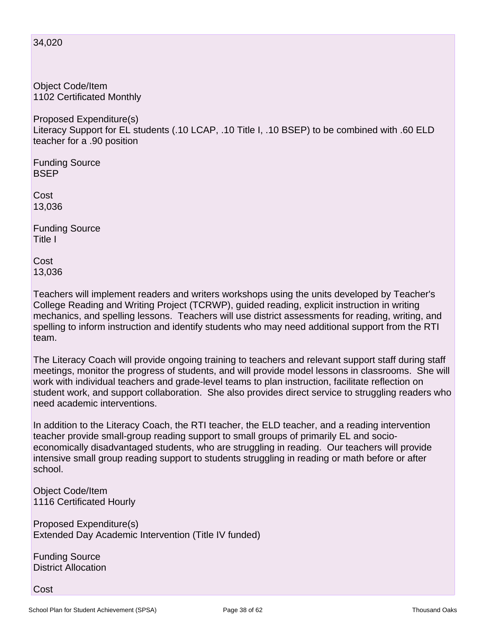#### 34,020

Object Code/Item 1102 Certificated Monthly

Proposed Expenditure(s) Literacy Support for EL students (.10 LCAP, .10 Title I, .10 BSEP) to be combined with .60 ELD teacher for a .90 position

Funding Source BSEP

Cost 13,036

Funding Source Title I

Cost 13,036

Teachers will implement readers and writers workshops using the units developed by Teacher's College Reading and Writing Project (TCRWP), guided reading, explicit instruction in writing mechanics, and spelling lessons. Teachers will use district assessments for reading, writing, and spelling to inform instruction and identify students who may need additional support from the RTI team.

The Literacy Coach will provide ongoing training to teachers and relevant support staff during staff meetings, monitor the progress of students, and will provide model lessons in classrooms. She will work with individual teachers and grade-level teams to plan instruction, facilitate reflection on student work, and support collaboration. She also provides direct service to struggling readers who need academic interventions.

In addition to the Literacy Coach, the RTI teacher, the ELD teacher, and a reading intervention teacher provide small-group reading support to small groups of primarily EL and socioeconomically disadvantaged students, who are struggling in reading. Our teachers will provide intensive small group reading support to students struggling in reading or math before or after school.

Object Code/Item 1116 Certificated Hourly

Proposed Expenditure(s) Extended Day Academic Intervention (Title IV funded)

Funding Source District Allocation

Cost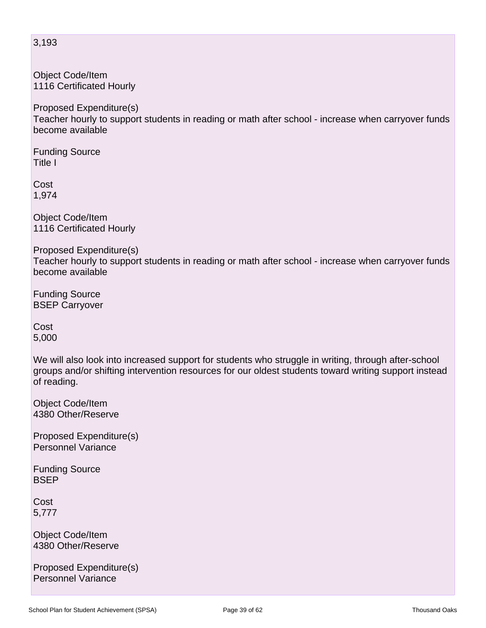Object Code/Item 1116 Certificated Hourly

Proposed Expenditure(s) Teacher hourly to support students in reading or math after school - increase when carryover funds become available

Funding Source Title I

Cost 1,974

Object Code/Item 1116 Certificated Hourly

Proposed Expenditure(s) Teacher hourly to support students in reading or math after school - increase when carryover funds become available

Funding Source BSEP Carryover

Cost 5,000

We will also look into increased support for students who struggle in writing, through after-school groups and/or shifting intervention resources for our oldest students toward writing support instead of reading.

Object Code/Item 4380 Other/Reserve

Proposed Expenditure(s) Personnel Variance

Funding Source **BSEP** 

**Cost** 5,777

Object Code/Item 4380 Other/Reserve

Proposed Expenditure(s) Personnel Variance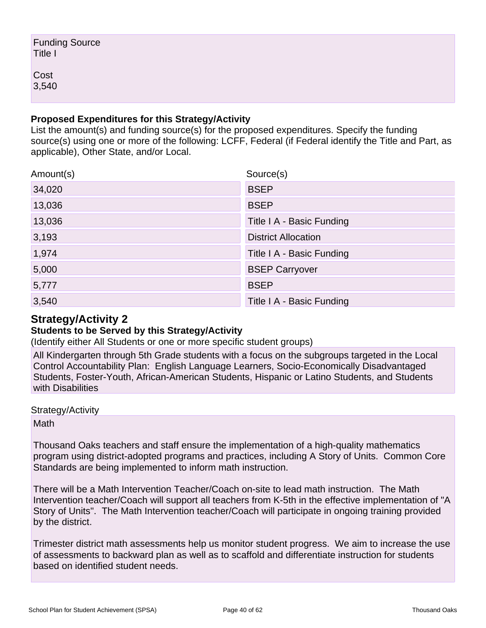| Funding Source<br>Title I |  |  |
|---------------------------|--|--|
| Cost<br>3,540             |  |  |

### **Proposed Expenditures for this Strategy/Activity**

List the amount(s) and funding source(s) for the proposed expenditures. Specify the funding source(s) using one or more of the following: LCFF, Federal (if Federal identify the Title and Part, as applicable), Other State, and/or Local.

| Amount(s) | Source(s)                  |
|-----------|----------------------------|
| 34,020    | <b>BSEP</b>                |
| 13,036    | <b>BSEP</b>                |
| 13,036    | Title I A - Basic Funding  |
| 3,193     | <b>District Allocation</b> |
| 1,974     | Title I A - Basic Funding  |
| 5,000     | <b>BSEP Carryover</b>      |
| 5,777     | <b>BSEP</b>                |
| 3,540     | Title I A - Basic Funding  |

## **Strategy/Activity 2**

### **Students to be Served by this Strategy/Activity**

(Identify either All Students or one or more specific student groups)

All Kindergarten through 5th Grade students with a focus on the subgroups targeted in the Local Control Accountability Plan: English Language Learners, Socio-Economically Disadvantaged Students, Foster-Youth, African-American Students, Hispanic or Latino Students, and Students with Disabilities

Strategy/Activity

Math

Thousand Oaks teachers and staff ensure the implementation of a high-quality mathematics program using district-adopted programs and practices, including A Story of Units. Common Core Standards are being implemented to inform math instruction.

There will be a Math Intervention Teacher/Coach on-site to lead math instruction. The Math Intervention teacher/Coach will support all teachers from K-5th in the effective implementation of "A Story of Units". The Math Intervention teacher/Coach will participate in ongoing training provided by the district.

Trimester district math assessments help us monitor student progress. We aim to increase the use of assessments to backward plan as well as to scaffold and differentiate instruction for students based on identified student needs.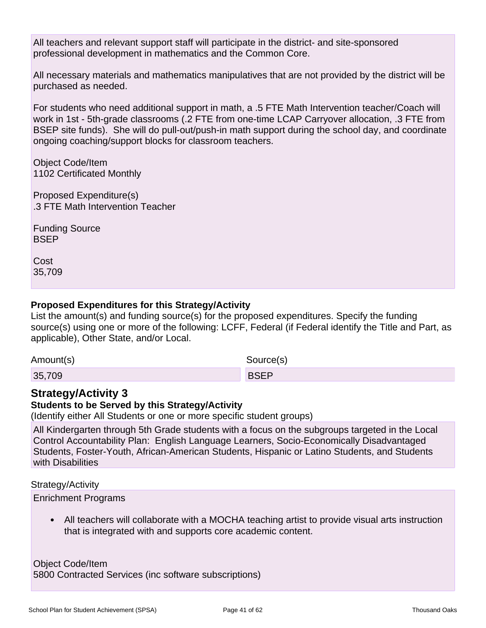All teachers and relevant support staff will participate in the district- and site-sponsored professional development in mathematics and the Common Core.

All necessary materials and mathematics manipulatives that are not provided by the district will be purchased as needed.

For students who need additional support in math, a .5 FTE Math Intervention teacher/Coach will work in 1st - 5th-grade classrooms (.2 FTE from one-time LCAP Carryover allocation, .3 FTE from BSEP site funds). She will do pull-out/push-in math support during the school day, and coordinate ongoing coaching/support blocks for classroom teachers.

Object Code/Item 1102 Certificated Monthly

Proposed Expenditure(s) .3 FTE Math Intervention Teacher

Funding Source **BSEP** 

**Cost** 35,709

### **Proposed Expenditures for this Strategy/Activity**

List the amount(s) and funding source(s) for the proposed expenditures. Specify the funding source(s) using one or more of the following: LCFF, Federal (if Federal identify the Title and Part, as applicable), Other State, and/or Local.

Amount(s) Source(s) 35,709 BSEP

## **Strategy/Activity 3**

### **Students to be Served by this Strategy/Activity**

(Identify either All Students or one or more specific student groups)

All Kindergarten through 5th Grade students with a focus on the subgroups targeted in the Local Control Accountability Plan: English Language Learners, Socio-Economically Disadvantaged Students, Foster-Youth, African-American Students, Hispanic or Latino Students, and Students with Disabilities

Strategy/Activity

Enrichment Programs

• All teachers will collaborate with a MOCHA teaching artist to provide visual arts instruction that is integrated with and supports core academic content.

Object Code/Item 5800 Contracted Services (inc software subscriptions)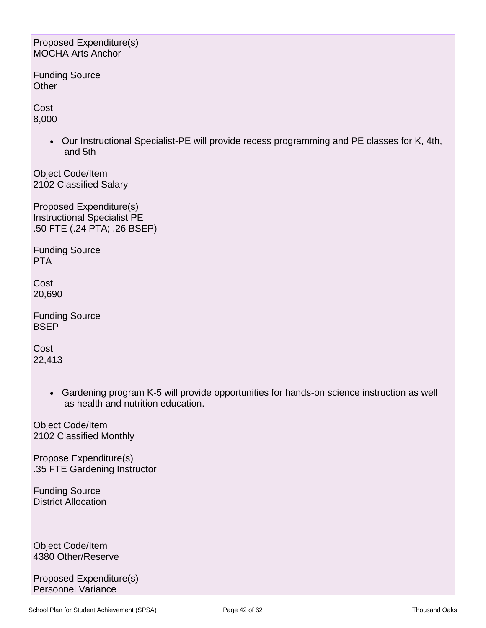#### Proposed Expenditure(s) MOCHA Arts Anchor

Funding Source **Other** 

Cost 8,000

> • Our Instructional Specialist-PE will provide recess programming and PE classes for K, 4th, and 5th

Object Code/Item 2102 Classified Salary

Proposed Expenditure(s) Instructional Specialist PE .50 FTE (.24 PTA; .26 BSEP)

Funding Source PTA

**Cost** 20,690

Funding Source **BSEP** 

**Cost** 22,413

> • Gardening program K-5 will provide opportunities for hands-on science instruction as well as health and nutrition education.

Object Code/Item 2102 Classified Monthly

Propose Expenditure(s) .35 FTE Gardening Instructor

Funding Source District Allocation

Object Code/Item 4380 Other/Reserve

Proposed Expenditure(s) Personnel Variance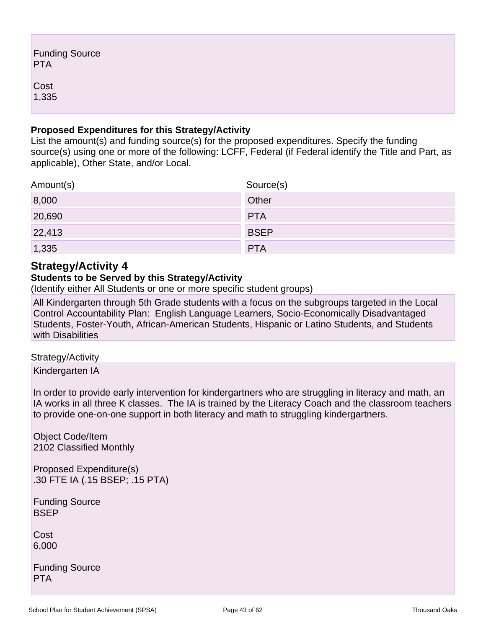| <b>Funding Source</b><br><b>PTA</b> |  |
|-------------------------------------|--|
| Cost<br>1,335                       |  |

### **Proposed Expenditures for this Strategy/Activity**

List the amount(s) and funding source(s) for the proposed expenditures. Specify the funding source(s) using one or more of the following: LCFF, Federal (if Federal identify the Title and Part, as applicable), Other State, and/or Local.

| Amount(s) | Source(s)   |
|-----------|-------------|
| 8,000     | Other       |
| 20,690    | <b>PTA</b>  |
| 22,413    | <b>BSEP</b> |
| 1,335     | <b>PTA</b>  |

### **Strategy/Activity 4**

### **Students to be Served by this Strategy/Activity**

(Identify either All Students or one or more specific student groups)

All Kindergarten through 5th Grade students with a focus on the subgroups targeted in the Local Control Accountability Plan: English Language Learners, Socio-Economically Disadvantaged Students, Foster-Youth, African-American Students, Hispanic or Latino Students, and Students with Disabilities

Strategy/Activity

Kindergarten IA

In order to provide early intervention for kindergartners who are struggling in literacy and math, an IA works in all three K classes. The IA is trained by the Literacy Coach and the classroom teachers to provide one-on-one support in both literacy and math to struggling kindergartners.

Object Code/Item 2102 Classified Monthly

Proposed Expenditure(s) .30 FTE IA (.15 BSEP; .15 PTA)

Funding Source **BSEP** 

Cost 6,000

Funding Source PTA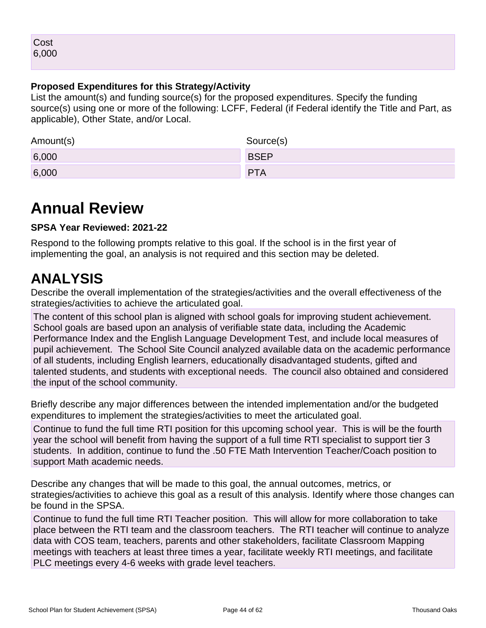### **Proposed Expenditures for this Strategy/Activity**

List the amount(s) and funding source(s) for the proposed expenditures. Specify the funding source(s) using one or more of the following: LCFF, Federal (if Federal identify the Title and Part, as applicable), Other State, and/or Local.

| Amount(s) | Source(s)   |
|-----------|-------------|
| 6,000     | <b>BSEP</b> |
| 6,000     | PTA         |

## **Annual Review**

### **SPSA Year Reviewed: 2021-22**

Respond to the following prompts relative to this goal. If the school is in the first year of implementing the goal, an analysis is not required and this section may be deleted.

## **ANALYSIS**

Describe the overall implementation of the strategies/activities and the overall effectiveness of the strategies/activities to achieve the articulated goal.

The content of this school plan is aligned with school goals for improving student achievement. School goals are based upon an analysis of verifiable state data, including the Academic Performance Index and the English Language Development Test, and include local measures of pupil achievement. The School Site Council analyzed available data on the academic performance of all students, including English learners, educationally disadvantaged students, gifted and talented students, and students with exceptional needs. The council also obtained and considered the input of the school community.

Briefly describe any major differences between the intended implementation and/or the budgeted expenditures to implement the strategies/activities to meet the articulated goal.

Continue to fund the full time RTI position for this upcoming school year. This is will be the fourth year the school will benefit from having the support of a full time RTI specialist to support tier 3 students. In addition, continue to fund the .50 FTE Math Intervention Teacher/Coach position to support Math academic needs.

Describe any changes that will be made to this goal, the annual outcomes, metrics, or strategies/activities to achieve this goal as a result of this analysis. Identify where those changes can be found in the SPSA.

Continue to fund the full time RTI Teacher position. This will allow for more collaboration to take place between the RTI team and the classroom teachers. The RTI teacher will continue to analyze data with COS team, teachers, parents and other stakeholders, facilitate Classroom Mapping meetings with teachers at least three times a year, facilitate weekly RTI meetings, and facilitate PLC meetings every 4-6 weeks with grade level teachers.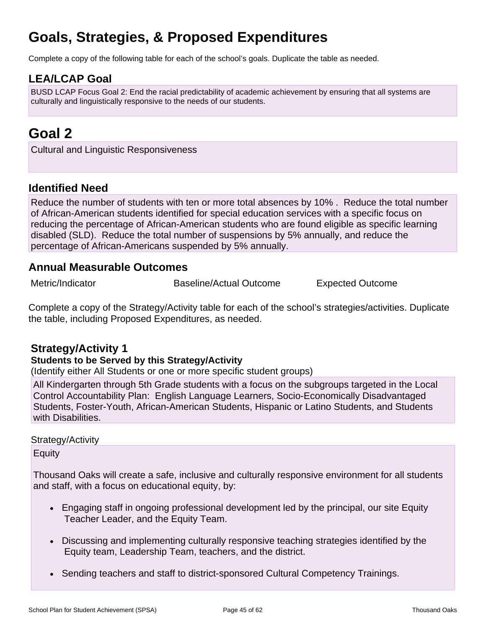## **Goals, Strategies, & Proposed Expenditures**

Complete a copy of the following table for each of the school's goals. Duplicate the table as needed.

## **LEA/LCAP Goal**

BUSD LCAP Focus Goal 2: End the racial predictability of academic achievement by ensuring that all systems are culturally and linguistically responsive to the needs of our students.

## **Goal 2**

Cultural and Linguistic Responsiveness

## **Identified Need**

Reduce the number of students with ten or more total absences by 10% . Reduce the total number of African-American students identified for special education services with a specific focus on reducing the percentage of African-American students who are found eligible as specific learning disabled (SLD). Reduce the total number of suspensions by 5% annually, and reduce the percentage of African-Americans suspended by 5% annually.

### **Annual Measurable Outcomes**

Metric/Indicator Baseline/Actual Outcome Expected Outcome

Complete a copy of the Strategy/Activity table for each of the school's strategies/activities. Duplicate the table, including Proposed Expenditures, as needed.

## **Strategy/Activity 1**

### **Students to be Served by this Strategy/Activity**

(Identify either All Students or one or more specific student groups)

All Kindergarten through 5th Grade students with a focus on the subgroups targeted in the Local Control Accountability Plan: English Language Learners, Socio-Economically Disadvantaged Students, Foster-Youth, African-American Students, Hispanic or Latino Students, and Students with Disabilities.

### Strategy/Activity

Equity

Thousand Oaks will create a safe, inclusive and culturally responsive environment for all students and staff, with a focus on educational equity, by:

- Engaging staff in ongoing professional development led by the principal, our site Equity Teacher Leader, and the Equity Team.
- Discussing and implementing culturally responsive teaching strategies identified by the Equity team, Leadership Team, teachers, and the district.
- Sending teachers and staff to district-sponsored Cultural Competency Trainings.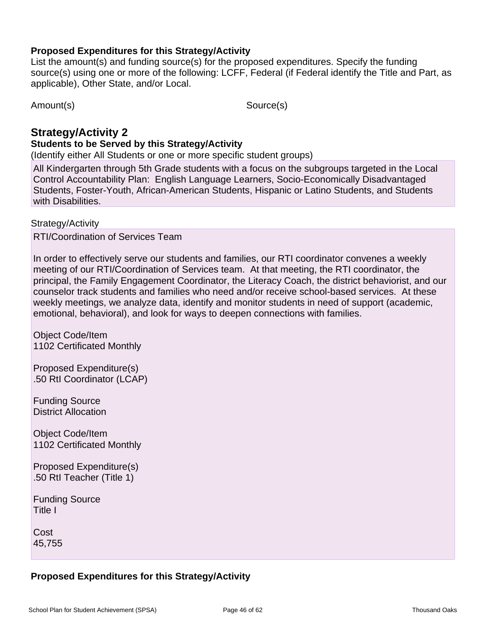### **Proposed Expenditures for this Strategy/Activity**

List the amount(s) and funding source(s) for the proposed expenditures. Specify the funding source(s) using one or more of the following: LCFF, Federal (if Federal identify the Title and Part, as applicable), Other State, and/or Local.

Amount(s) Source(s)

## **Strategy/Activity 2**

### **Students to be Served by this Strategy/Activity**

(Identify either All Students or one or more specific student groups)

All Kindergarten through 5th Grade students with a focus on the subgroups targeted in the Local Control Accountability Plan: English Language Learners, Socio-Economically Disadvantaged Students, Foster-Youth, African-American Students, Hispanic or Latino Students, and Students with Disabilities.

Strategy/Activity

RTI/Coordination of Services Team

In order to effectively serve our students and families, our RTI coordinator convenes a weekly meeting of our RTI/Coordination of Services team. At that meeting, the RTI coordinator, the principal, the Family Engagement Coordinator, the Literacy Coach, the district behaviorist, and our counselor track students and families who need and/or receive school-based services. At these weekly meetings, we analyze data, identify and monitor students in need of support (academic, emotional, behavioral), and look for ways to deepen connections with families.

Object Code/Item 1102 Certificated Monthly

Proposed Expenditure(s) .50 RtI Coordinator (LCAP)

Funding Source District Allocation

Object Code/Item 1102 Certificated Monthly

Proposed Expenditure(s) .50 RtI Teacher (Title 1)

Funding Source Title I

Cost 45,755

## **Proposed Expenditures for this Strategy/Activity**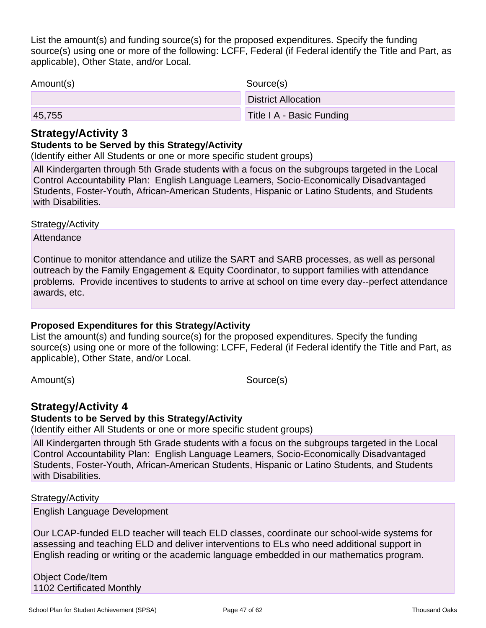List the amount(s) and funding source(s) for the proposed expenditures. Specify the funding source(s) using one or more of the following: LCFF, Federal (if Federal identify the Title and Part, as applicable), Other State, and/or Local.

| Amount(s) | Source(s)                  |
|-----------|----------------------------|
|           | <b>District Allocation</b> |
| 45,755    | Title I A - Basic Funding  |

### **Strategy/Activity 3**

### **Students to be Served by this Strategy/Activity**

(Identify either All Students or one or more specific student groups)

All Kindergarten through 5th Grade students with a focus on the subgroups targeted in the Local Control Accountability Plan: English Language Learners, Socio-Economically Disadvantaged Students, Foster-Youth, African-American Students, Hispanic or Latino Students, and Students with Disabilities.

#### Strategy/Activity

**Attendance** 

Continue to monitor attendance and utilize the SART and SARB processes, as well as personal outreach by the Family Engagement & Equity Coordinator, to support families with attendance problems. Provide incentives to students to arrive at school on time every day--perfect attendance awards, etc.

### **Proposed Expenditures for this Strategy/Activity**

List the amount(s) and funding source(s) for the proposed expenditures. Specify the funding source(s) using one or more of the following: LCFF, Federal (if Federal identify the Title and Part, as applicable), Other State, and/or Local.

Amount(s) Source(s)

## **Strategy/Activity 4**

### **Students to be Served by this Strategy/Activity**

(Identify either All Students or one or more specific student groups)

All Kindergarten through 5th Grade students with a focus on the subgroups targeted in the Local Control Accountability Plan: English Language Learners, Socio-Economically Disadvantaged Students, Foster-Youth, African-American Students, Hispanic or Latino Students, and Students with Disabilities.

#### Strategy/Activity

English Language Development

Our LCAP-funded ELD teacher will teach ELD classes, coordinate our school-wide systems for assessing and teaching ELD and deliver interventions to ELs who need additional support in English reading or writing or the academic language embedded in our mathematics program.

Object Code/Item 1102 Certificated Monthly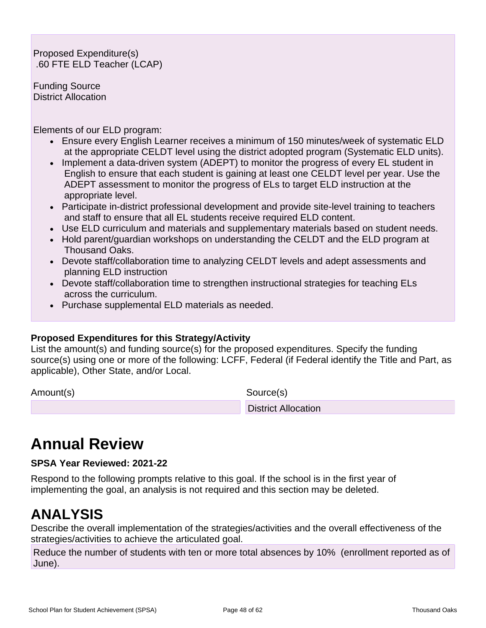Proposed Expenditure(s) .60 FTE ELD Teacher (LCAP)

Funding Source District Allocation

Elements of our ELD program:

- Ensure every English Learner receives a minimum of 150 minutes/week of systematic ELD at the appropriate CELDT level using the district adopted program (Systematic ELD units).
- Implement a data-driven system (ADEPT) to monitor the progress of every EL student in English to ensure that each student is gaining at least one CELDT level per year. Use the ADEPT assessment to monitor the progress of ELs to target ELD instruction at the appropriate level.
- Participate in-district professional development and provide site-level training to teachers and staff to ensure that all EL students receive required ELD content.
- Use ELD curriculum and materials and supplementary materials based on student needs.
- Hold parent/guardian workshops on understanding the CELDT and the ELD program at Thousand Oaks.
- Devote staff/collaboration time to analyzing CELDT levels and adept assessments and planning ELD instruction
- Devote staff/collaboration time to strengthen instructional strategies for teaching ELs across the curriculum.
- Purchase supplemental ELD materials as needed.

### **Proposed Expenditures for this Strategy/Activity**

List the amount(s) and funding source(s) for the proposed expenditures. Specify the funding source(s) using one or more of the following: LCFF, Federal (if Federal identify the Title and Part, as applicable), Other State, and/or Local.

Amount(s) Source(s)

District Allocation

## **Annual Review**

**SPSA Year Reviewed: 2021-22**

Respond to the following prompts relative to this goal. If the school is in the first year of implementing the goal, an analysis is not required and this section may be deleted.

## **ANALYSIS**

Describe the overall implementation of the strategies/activities and the overall effectiveness of the strategies/activities to achieve the articulated goal.

Reduce the number of students with ten or more total absences by 10% (enrollment reported as of June).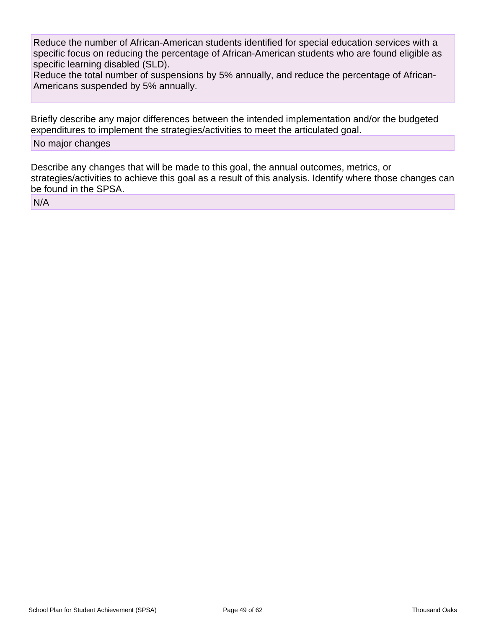Reduce the number of African-American students identified for special education services with a specific focus on reducing the percentage of African-American students who are found eligible as specific learning disabled (SLD).

Reduce the total number of suspensions by 5% annually, and reduce the percentage of African-Americans suspended by 5% annually.

Briefly describe any major differences between the intended implementation and/or the budgeted expenditures to implement the strategies/activities to meet the articulated goal.

#### No major changes

Describe any changes that will be made to this goal, the annual outcomes, metrics, or strategies/activities to achieve this goal as a result of this analysis. Identify where those changes can be found in the SPSA.

N/A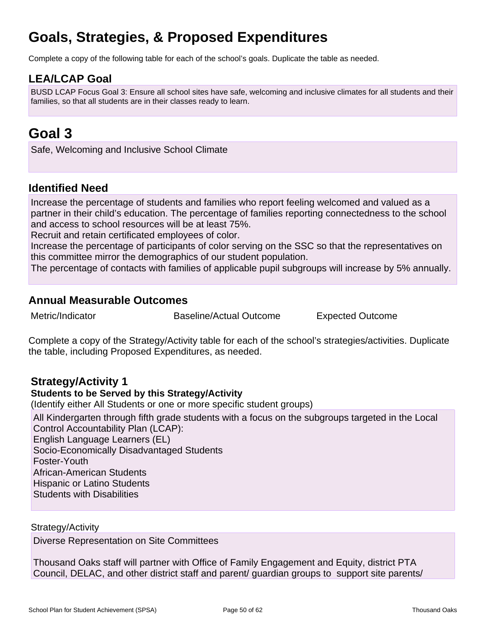## **Goals, Strategies, & Proposed Expenditures**

Complete a copy of the following table for each of the school's goals. Duplicate the table as needed.

## **LEA/LCAP Goal**

BUSD LCAP Focus Goal 3: Ensure all school sites have safe, welcoming and inclusive climates for all students and their families, so that all students are in their classes ready to learn.

## **Goal 3**

Safe, Welcoming and Inclusive School Climate

## **Identified Need**

Increase the percentage of students and families who report feeling welcomed and valued as a partner in their child's education. The percentage of families reporting connectedness to the school and access to school resources will be at least 75%.

Recruit and retain certificated employees of color.

Increase the percentage of participants of color serving on the SSC so that the representatives on this committee mirror the demographics of our student population.

The percentage of contacts with families of applicable pupil subgroups will increase by 5% annually.

## **Annual Measurable Outcomes**

Metric/Indicator **Baseline/Actual Outcome** Expected Outcome

Complete a copy of the Strategy/Activity table for each of the school's strategies/activities. Duplicate the table, including Proposed Expenditures, as needed.

## **Strategy/Activity 1**

### **Students to be Served by this Strategy/Activity**

(Identify either All Students or one or more specific student groups)

All Kindergarten through fifth grade students with a focus on the subgroups targeted in the Local Control Accountability Plan (LCAP): English Language Learners (EL)

Socio-Economically Disadvantaged Students Foster-Youth African-American Students Hispanic or Latino Students Students with Disabilities

Strategy/Activity

Diverse Representation on Site Committees

Thousand Oaks staff will partner with Office of Family Engagement and Equity, district PTA Council, DELAC, and other district staff and parent/ guardian groups to support site parents/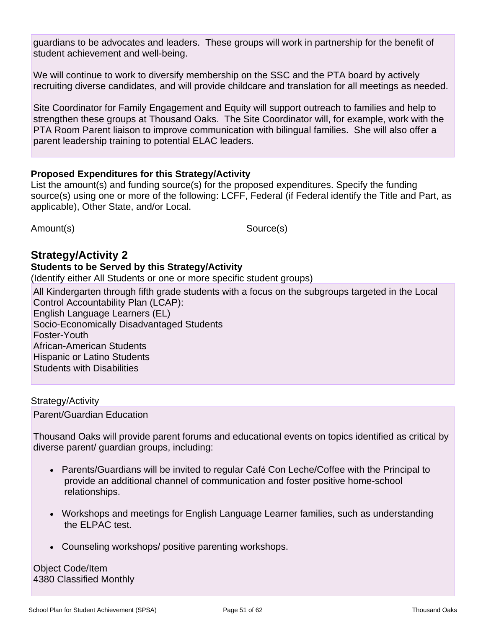guardians to be advocates and leaders. These groups will work in partnership for the benefit of student achievement and well-being.

We will continue to work to diversify membership on the SSC and the PTA board by actively recruiting diverse candidates, and will provide childcare and translation for all meetings as needed.

Site Coordinator for Family Engagement and Equity will support outreach to families and help to strengthen these groups at Thousand Oaks. The Site Coordinator will, for example, work with the PTA Room Parent liaison to improve communication with bilingual families. She will also offer a parent leadership training to potential ELAC leaders.

### **Proposed Expenditures for this Strategy/Activity**

List the amount(s) and funding source(s) for the proposed expenditures. Specify the funding source(s) using one or more of the following: LCFF, Federal (if Federal identify the Title and Part, as applicable), Other State, and/or Local.

Amount(s) Source(s)

## **Strategy/Activity 2**

#### **Students to be Served by this Strategy/Activity**

(Identify either All Students or one or more specific student groups)

All Kindergarten through fifth grade students with a focus on the subgroups targeted in the Local Control Accountability Plan (LCAP): English Language Learners (EL) Socio-Economically Disadvantaged Students Foster-Youth African-American Students Hispanic or Latino Students Students with Disabilities

### Strategy/Activity

Parent/Guardian Education

Thousand Oaks will provide parent forums and educational events on topics identified as critical by diverse parent/ guardian groups, including:

- Parents/Guardians will be invited to regular Café Con Leche/Coffee with the Principal to provide an additional channel of communication and foster positive home-school relationships.
- Workshops and meetings for English Language Learner families, such as understanding the ELPAC test.
- Counseling workshops/ positive parenting workshops.

Object Code/Item 4380 Classified Monthly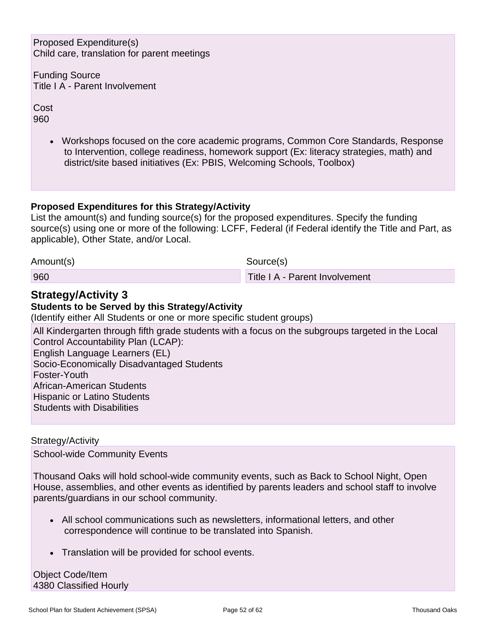Proposed Expenditure(s) Child care, translation for parent meetings

Funding Source Title I A - Parent Involvement

Cost 960

> • Workshops focused on the core academic programs, Common Core Standards, Response to Intervention, college readiness, homework support (Ex: literacy strategies, math) and district/site based initiatives (Ex: PBIS, Welcoming Schools, Toolbox)

### **Proposed Expenditures for this Strategy/Activity**

List the amount(s) and funding source(s) for the proposed expenditures. Specify the funding source(s) using one or more of the following: LCFF, Federal (if Federal identify the Title and Part, as applicable), Other State, and/or Local.

Amount(s) Source(s)

960 Title I A - Parent Involvement

## **Strategy/Activity 3**

### **Students to be Served by this Strategy/Activity**

(Identify either All Students or one or more specific student groups)

All Kindergarten through fifth grade students with a focus on the subgroups targeted in the Local Control Accountability Plan (LCAP): English Language Learners (EL)

Socio-Economically Disadvantaged Students

Foster-Youth

African-American Students

Hispanic or Latino Students

Students with Disabilities

Strategy/Activity

School-wide Community Events

Thousand Oaks will hold school-wide community events, such as Back to School Night, Open House, assemblies, and other events as identified by parents leaders and school staff to involve parents/guardians in our school community.

- All school communications such as newsletters, informational letters, and other correspondence will continue to be translated into Spanish.
- Translation will be provided for school events.

Object Code/Item 4380 Classified Hourly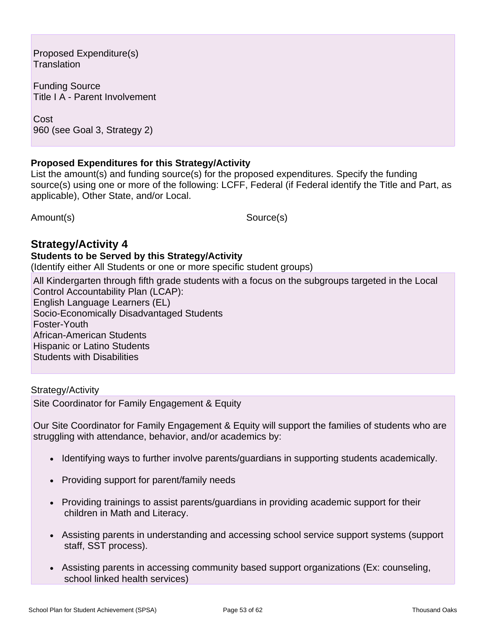Proposed Expenditure(s) **Translation** 

Funding Source Title I A - Parent Involvement

Cost 960 (see Goal 3, Strategy 2)

### **Proposed Expenditures for this Strategy/Activity**

List the amount(s) and funding source(s) for the proposed expenditures. Specify the funding source(s) using one or more of the following: LCFF, Federal (if Federal identify the Title and Part, as applicable), Other State, and/or Local.

Amount(s) Source(s)

## **Strategy/Activity 4**

#### **Students to be Served by this Strategy/Activity**

(Identify either All Students or one or more specific student groups)

All Kindergarten through fifth grade students with a focus on the subgroups targeted in the Local Control Accountability Plan (LCAP): English Language Learners (EL) Socio-Economically Disadvantaged Students Foster-Youth African-American Students Hispanic or Latino Students Students with Disabilities

Strategy/Activity Site Coordinator for Family Engagement & Equity

Our Site Coordinator for Family Engagement & Equity will support the families of students who are struggling with attendance, behavior, and/or academics by:

- Identifying ways to further involve parents/guardians in supporting students academically.
- Providing support for parent/family needs
- Providing trainings to assist parents/guardians in providing academic support for their children in Math and Literacy.
- Assisting parents in understanding and accessing school service support systems (support staff, SST process).
- Assisting parents in accessing community based support organizations (Ex: counseling, school linked health services)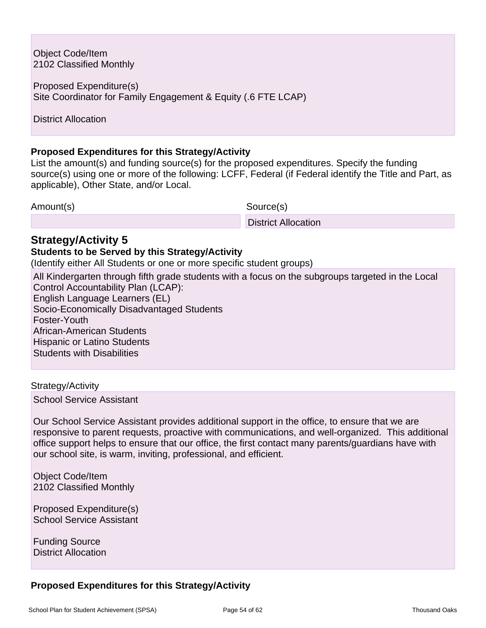Object Code/Item 2102 Classified Monthly

Proposed Expenditure(s) Site Coordinator for Family Engagement & Equity (.6 FTE LCAP)

District Allocation

### **Proposed Expenditures for this Strategy/Activity**

List the amount(s) and funding source(s) for the proposed expenditures. Specify the funding source(s) using one or more of the following: LCFF, Federal (if Federal identify the Title and Part, as applicable), Other State, and/or Local.

Amount(s) Source(s)

District Allocation

### **Strategy/Activity 5**

#### **Students to be Served by this Strategy/Activity**

(Identify either All Students or one or more specific student groups)

All Kindergarten through fifth grade students with a focus on the subgroups targeted in the Local Control Accountability Plan (LCAP): English Language Learners (EL) Socio-Economically Disadvantaged Students Foster-Youth African-American Students Hispanic or Latino Students Students with Disabilities

#### Strategy/Activity

School Service Assistant

Our School Service Assistant provides additional support in the office, to ensure that we are responsive to parent requests, proactive with communications, and well-organized. This additional office support helps to ensure that our office, the first contact many parents/guardians have with our school site, is warm, inviting, professional, and efficient.

Object Code/Item 2102 Classified Monthly

Proposed Expenditure(s) School Service Assistant

Funding Source District Allocation

### **Proposed Expenditures for this Strategy/Activity**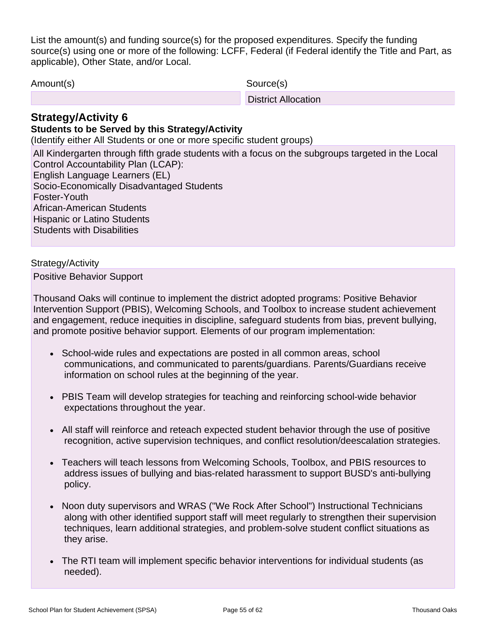List the amount(s) and funding source(s) for the proposed expenditures. Specify the funding source(s) using one or more of the following: LCFF, Federal (if Federal identify the Title and Part, as applicable), Other State, and/or Local.

Amount(s) Source(s)

District Allocation

## **Strategy/Activity 6**

### **Students to be Served by this Strategy/Activity**

(Identify either All Students or one or more specific student groups)

All Kindergarten through fifth grade students with a focus on the subgroups targeted in the Local Control Accountability Plan (LCAP): English Language Learners (EL) Socio-Economically Disadvantaged Students Foster-Youth African-American Students Hispanic or Latino Students Students with Disabilities

#### Strategy/Activity

Positive Behavior Support

Thousand Oaks will continue to implement the district adopted programs: Positive Behavior Intervention Support (PBIS), Welcoming Schools, and Toolbox to increase student achievement and engagement, reduce inequities in discipline, safeguard students from bias, prevent bullying, and promote positive behavior support. Elements of our program implementation:

- School-wide rules and expectations are posted in all common areas, school communications, and communicated to parents/guardians. Parents/Guardians receive information on school rules at the beginning of the year.
- PBIS Team will develop strategies for teaching and reinforcing school-wide behavior expectations throughout the year.
- All staff will reinforce and reteach expected student behavior through the use of positive recognition, active supervision techniques, and conflict resolution/deescalation strategies.
- Teachers will teach lessons from Welcoming Schools, Toolbox, and PBIS resources to address issues of bullying and bias-related harassment to support BUSD's anti-bullying policy.
- Noon duty supervisors and WRAS ("We Rock After School") Instructional Technicians along with other identified support staff will meet regularly to strengthen their supervision techniques, learn additional strategies, and problem-solve student conflict situations as they arise.
- The RTI team will implement specific behavior interventions for individual students (as needed).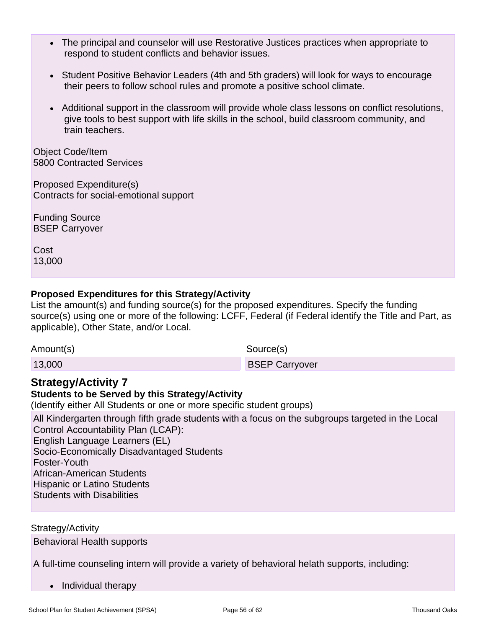- The principal and counselor will use Restorative Justices practices when appropriate to respond to student conflicts and behavior issues.
- Student Positive Behavior Leaders (4th and 5th graders) will look for ways to encourage their peers to follow school rules and promote a positive school climate.
- Additional support in the classroom will provide whole class lessons on conflict resolutions, give tools to best support with life skills in the school, build classroom community, and train teachers.

Object Code/Item 5800 Contracted Services

Proposed Expenditure(s) Contracts for social-emotional support

Funding Source BSEP Carryover

Cost 13,000

### **Proposed Expenditures for this Strategy/Activity**

List the amount(s) and funding source(s) for the proposed expenditures. Specify the funding source(s) using one or more of the following: LCFF, Federal (if Federal identify the Title and Part, as applicable), Other State, and/or Local.

Amount(s) Source(s)

13,000 BSEP Carryover

## **Strategy/Activity 7**

## **Students to be Served by this Strategy/Activity**

(Identify either All Students or one or more specific student groups)

All Kindergarten through fifth grade students with a focus on the subgroups targeted in the Local Control Accountability Plan (LCAP): English Language Learners (EL) Socio-Economically Disadvantaged Students Foster-Youth African-American Students Hispanic or Latino Students Students with Disabilities

Strategy/Activity

Behavioral Health supports

A full-time counseling intern will provide a variety of behavioral helath supports, including:

• Individual therapy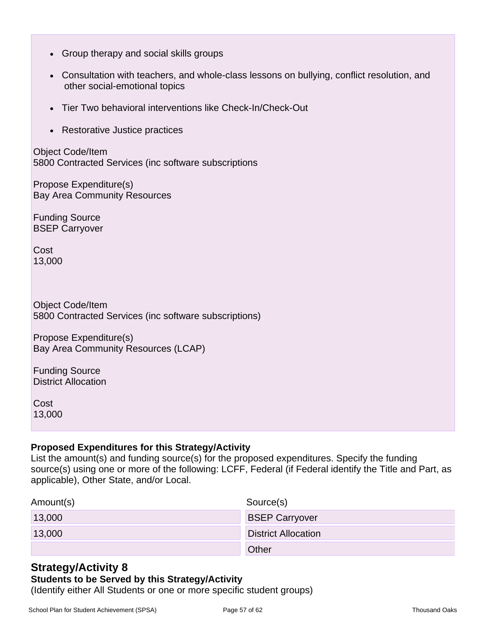- Group therapy and social skills groups
- Consultation with teachers, and whole-class lessons on bullying, conflict resolution, and other social-emotional topics
- Tier Two behavioral interventions like Check-In/Check-Out
- Restorative Justice practices

Object Code/Item 5800 Contracted Services (inc software subscriptions

Propose Expenditure(s) Bay Area Community Resources

Funding Source BSEP Carryover

Cost 13,000

Object Code/Item 5800 Contracted Services (inc software subscriptions)

Propose Expenditure(s) Bay Area Community Resources (LCAP)

Funding Source District Allocation

Cost 13,000

### **Proposed Expenditures for this Strategy/Activity**

List the amount(s) and funding source(s) for the proposed expenditures. Specify the funding source(s) using one or more of the following: LCFF, Federal (if Federal identify the Title and Part, as applicable), Other State, and/or Local.

| Amount(s) | Source(s)                  |
|-----------|----------------------------|
| 13,000    | <b>BSEP Carryover</b>      |
| 13,000    | <b>District Allocation</b> |
|           | Other                      |

## **Strategy/Activity 8**

### **Students to be Served by this Strategy/Activity**

(Identify either All Students or one or more specific student groups)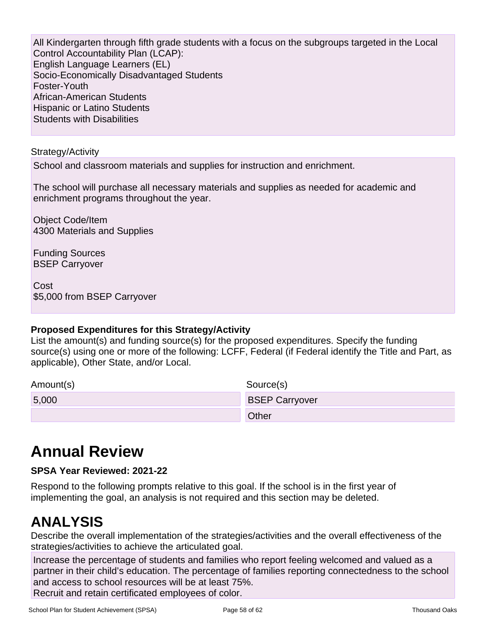All Kindergarten through fifth grade students with a focus on the subgroups targeted in the Local Control Accountability Plan (LCAP): English Language Learners (EL) Socio-Economically Disadvantaged Students Foster-Youth African-American Students Hispanic or Latino Students Students with Disabilities

#### Strategy/Activity

School and classroom materials and supplies for instruction and enrichment.

The school will purchase all necessary materials and supplies as needed for academic and enrichment programs throughout the year.

Object Code/Item 4300 Materials and Supplies

Funding Sources BSEP Carryover

Cost \$5,000 from BSEP Carryover

### **Proposed Expenditures for this Strategy/Activity**

List the amount(s) and funding source(s) for the proposed expenditures. Specify the funding source(s) using one or more of the following: LCFF, Federal (if Federal identify the Title and Part, as applicable), Other State, and/or Local.

| Amount(s) | Source(s)             |
|-----------|-----------------------|
| 5,000     | <b>BSEP Carryover</b> |
|           | <b>Other</b>          |

## **Annual Review**

### **SPSA Year Reviewed: 2021-22**

Respond to the following prompts relative to this goal. If the school is in the first year of implementing the goal, an analysis is not required and this section may be deleted.

## **ANALYSIS**

Describe the overall implementation of the strategies/activities and the overall effectiveness of the strategies/activities to achieve the articulated goal.

Increase the percentage of students and families who report feeling welcomed and valued as a partner in their child's education. The percentage of families reporting connectedness to the school and access to school resources will be at least 75%. Recruit and retain certificated employees of color.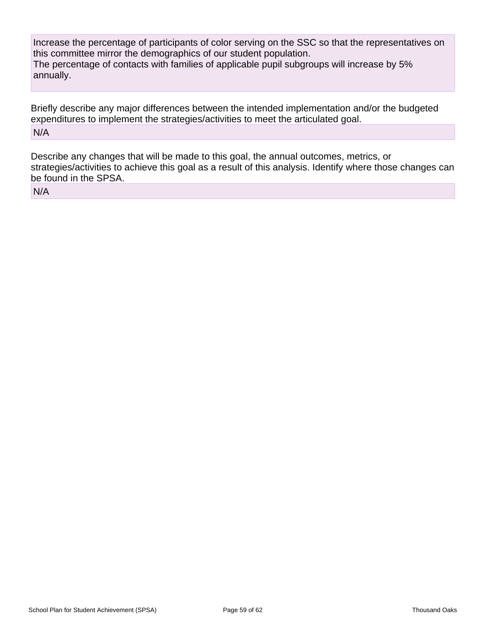Increase the percentage of participants of color serving on the SSC so that the representatives on this committee mirror the demographics of our student population. The percentage of contacts with families of applicable pupil subgroups will increase by 5% annually.

Briefly describe any major differences between the intended implementation and/or the budgeted expenditures to implement the strategies/activities to meet the articulated goal. N/A

Describe any changes that will be made to this goal, the annual outcomes, metrics, or strategies/activities to achieve this goal as a result of this analysis. Identify where those changes can be found in the SPSA.

N/A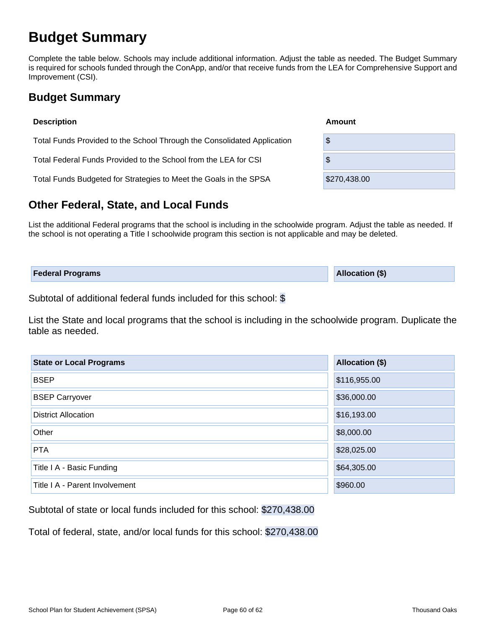## **Budget Summary**

Complete the table below. Schools may include additional information. Adjust the table as needed. The Budget Summary is required for schools funded through the ConApp, and/or that receive funds from the LEA for Comprehensive Support and Improvement (CSI).

## **Budget Summary**

| <b>Description</b>                                                      | Amount       |  |  |  |  |  |
|-------------------------------------------------------------------------|--------------|--|--|--|--|--|
| Total Funds Provided to the School Through the Consolidated Application | \$           |  |  |  |  |  |
| Total Federal Funds Provided to the School from the LEA for CSI         | \$           |  |  |  |  |  |
| Total Funds Budgeted for Strategies to Meet the Goals in the SPSA       | \$270,438.00 |  |  |  |  |  |

## **Other Federal, State, and Local Funds**

List the additional Federal programs that the school is including in the schoolwide program. Adjust the table as needed. If the school is not operating a Title I schoolwide program this section is not applicable and may be deleted.

| <b>Federal Programs</b> | <b>Allocation (\$)</b> |
|-------------------------|------------------------|
|                         |                        |

Subtotal of additional federal funds included for this school: \$

List the State and local programs that the school is including in the schoolwide program. Duplicate the table as needed.

| <b>State or Local Programs</b> | Allocation (\$) |  |  |  |  |  |
|--------------------------------|-----------------|--|--|--|--|--|
| <b>BSEP</b>                    | \$116,955.00    |  |  |  |  |  |
| <b>BSEP Carryover</b>          | \$36,000.00     |  |  |  |  |  |
| <b>District Allocation</b>     | \$16,193.00     |  |  |  |  |  |
| Other                          | \$8,000.00      |  |  |  |  |  |
| <b>PTA</b>                     | \$28,025.00     |  |  |  |  |  |
| Title I A - Basic Funding      | \$64,305.00     |  |  |  |  |  |
| Title I A - Parent Involvement | \$960.00        |  |  |  |  |  |

Subtotal of state or local funds included for this school: \$270,438.00

Total of federal, state, and/or local funds for this school: \$270,438.00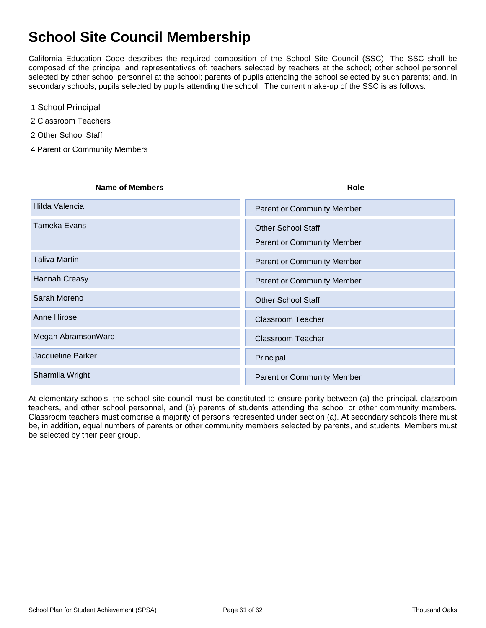## **School Site Council Membership**

California Education Code describes the required composition of the School Site Council (SSC). The SSC shall be composed of the principal and representatives of: teachers selected by teachers at the school; other school personnel selected by other school personnel at the school; parents of pupils attending the school selected by such parents; and, in secondary schools, pupils selected by pupils attending the school. The current make-up of the SSC is as follows:

- 1 School Principal
- 2 Classroom Teachers
- 2 Other School Staff
- 4 Parent or Community Members

| <b>Name of Members</b> | Role                                                           |
|------------------------|----------------------------------------------------------------|
| Hilda Valencia         | <b>Parent or Community Member</b>                              |
| <b>Tameka Evans</b>    | <b>Other School Staff</b><br><b>Parent or Community Member</b> |
| <b>Taliva Martin</b>   | <b>Parent or Community Member</b>                              |
| <b>Hannah Creasy</b>   | <b>Parent or Community Member</b>                              |
| Sarah Moreno           | <b>Other School Staff</b>                                      |
| Anne Hirose            | <b>Classroom Teacher</b>                                       |
| Megan AbramsonWard     | <b>Classroom Teacher</b>                                       |
| Jacqueline Parker      | Principal                                                      |
| Sharmila Wright        | <b>Parent or Community Member</b>                              |

At elementary schools, the school site council must be constituted to ensure parity between (a) the principal, classroom teachers, and other school personnel, and (b) parents of students attending the school or other community members. Classroom teachers must comprise a majority of persons represented under section (a). At secondary schools there must be, in addition, equal numbers of parents or other community members selected by parents, and students. Members must be selected by their peer group.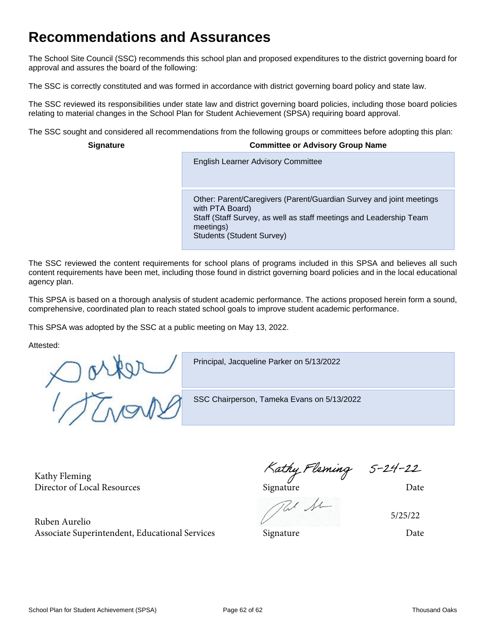## **Recommendations and Assurances**

The School Site Council (SSC) recommends this school plan and proposed expenditures to the district governing board for approval and assures the board of the following:

The SSC is correctly constituted and was formed in accordance with district governing board policy and state law.

The SSC reviewed its responsibilities under state law and district governing board policies, including those board policies relating to material changes in the School Plan for Student Achievement (SPSA) requiring board approval.

The SSC sought and considered all recommendations from the following groups or committees before adopting this plan:

#### **Signature Committee or Advisory Group Name**

**English Learner Advisory Committee** 

Other: Parent/Caregivers (Parent/Guardian Survey and joint meetings with PTA Board) Staff (Staff Survey, as well as staff meetings and Leadership Team meetings) Students (Student Survey)

The SSC reviewed the content requirements for school plans of programs included in this SPSA and believes all such content requirements have been met, including those found in district governing board policies and in the local educational agency plan.

This SPSA is based on a thorough analysis of student academic performance. The actions proposed herein form a sound, comprehensive, coordinated plan to reach stated school goals to improve student academic performance.

This SPSA was adopted by the SSC at a public meeting on May 13, 2022.

Attested:

Oarpr

Principal, Jacqueline Parker on 5/13/2022

SSC Chairperson, Tameka Evans on 5/13/2022

Kathy Fleming Kathy Fleming S-24-22<br>Director of Local Resources Signature Date

Ruben Aurelio

5/25/22

Associate Superintendent, Educational Services Signature Date Date